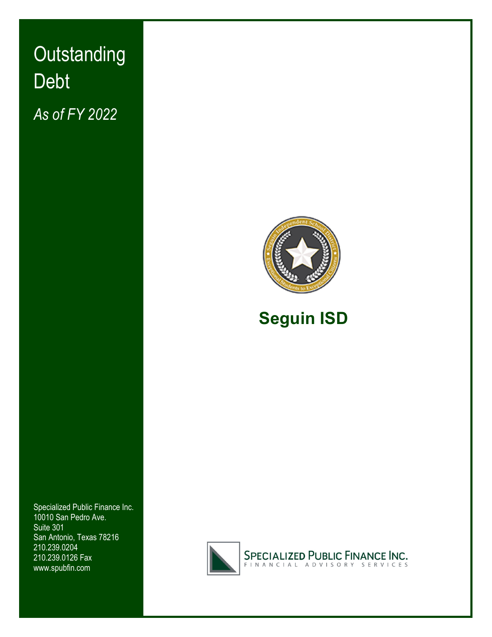# Outstanding  Debt  *As of FY 2022*





# **Seguin ISD**

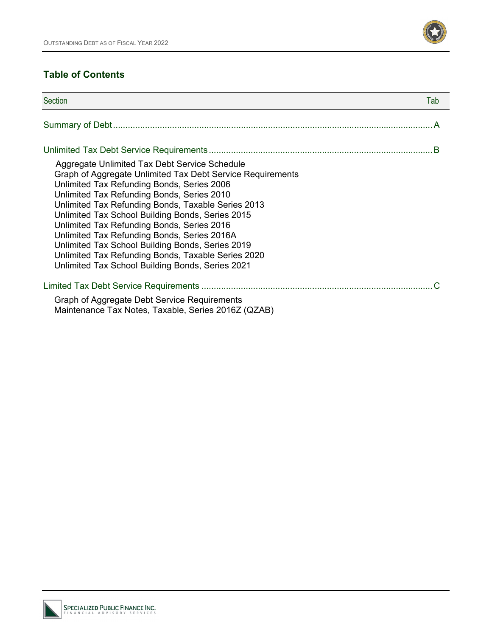

### **Table of Contents**

| Section                                                                                                                                                                                                                                                                                                                                                                                                                                                                                                                                                                      | Tab |
|------------------------------------------------------------------------------------------------------------------------------------------------------------------------------------------------------------------------------------------------------------------------------------------------------------------------------------------------------------------------------------------------------------------------------------------------------------------------------------------------------------------------------------------------------------------------------|-----|
|                                                                                                                                                                                                                                                                                                                                                                                                                                                                                                                                                                              |     |
|                                                                                                                                                                                                                                                                                                                                                                                                                                                                                                                                                                              |     |
| Aggregate Unlimited Tax Debt Service Schedule<br>Graph of Aggregate Unlimited Tax Debt Service Requirements<br>Unlimited Tax Refunding Bonds, Series 2006<br>Unlimited Tax Refunding Bonds, Series 2010<br>Unlimited Tax Refunding Bonds, Taxable Series 2013<br>Unlimited Tax School Building Bonds, Series 2015<br>Unlimited Tax Refunding Bonds, Series 2016<br>Unlimited Tax Refunding Bonds, Series 2016A<br>Unlimited Tax School Building Bonds, Series 2019<br>Unlimited Tax Refunding Bonds, Taxable Series 2020<br>Unlimited Tax School Building Bonds, Series 2021 |     |
|                                                                                                                                                                                                                                                                                                                                                                                                                                                                                                                                                                              |     |
| Graph of Aggregate Debt Service Requirements<br>Maintenance Tax Notes, Taxable, Series 2016Z (QZAB)                                                                                                                                                                                                                                                                                                                                                                                                                                                                          |     |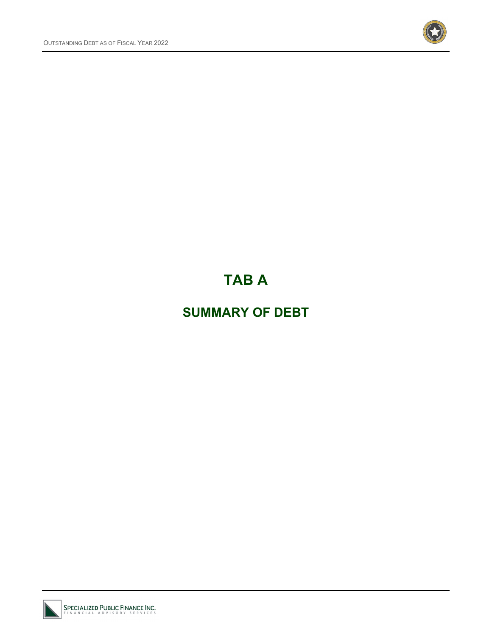

# **TAB A**

# **SUMMARY OF DEBT**

SPECIALIZED PUBLIC FINANCE INC.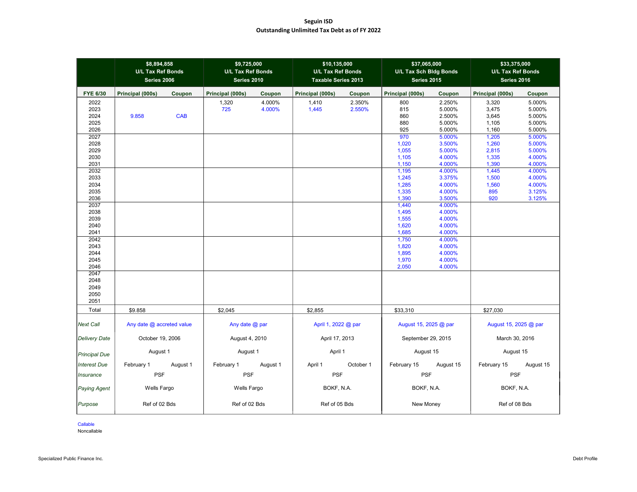#### **Seguin ISD Outstanding Unlimited Tax Debt as of FY 2022**

|                                      | \$8,894,858<br><b>U/L Tax Ref Bonds</b><br>Series 2006 |            | \$9,725,000<br><b>U/L Tax Ref Bonds</b><br>Series 2010 |                  | \$10,135,000<br><b>U/L Tax Ref Bonds</b><br><b>Taxable Series 2013</b> |                  | \$37,065,000<br>U/L Tax Sch Bldg Bonds<br><b>Series 2015</b> |                                                | \$33,375,000<br><b>U/L Tax Ref Bonds</b><br>Series 2016 |                                                |
|--------------------------------------|--------------------------------------------------------|------------|--------------------------------------------------------|------------------|------------------------------------------------------------------------|------------------|--------------------------------------------------------------|------------------------------------------------|---------------------------------------------------------|------------------------------------------------|
| <b>FYE 6/30</b>                      | Principal (000s)                                       | Coupon     | Principal (000s)                                       | Coupon           | Principal (000s)                                                       | Coupon           | Principal (000s)                                             | Coupon                                         | Principal (000s)                                        | Coupon                                         |
| 2022<br>2023<br>2024<br>2025<br>2026 | 9.858                                                  | <b>CAB</b> | 1,320<br>725                                           | 4.000%<br>4.000% | 1,410<br>1,445                                                         | 2.350%<br>2.550% | 800<br>815<br>860<br>880<br>925                              | 2.250%<br>5.000%<br>2.500%<br>5.000%<br>5.000% | 3,320<br>3,475<br>3,645<br>1,105<br>1,160               | 5.000%<br>5.000%<br>5.000%<br>5.000%<br>5.000% |
| 2027<br>2028<br>2029<br>2030<br>2031 |                                                        |            |                                                        |                  |                                                                        |                  | 970<br>1,020<br>1,055<br>1,105<br>1,150                      | 5.000%<br>3.500%<br>5.000%<br>4.000%<br>4.000% | 1,205<br>1,260<br>2,815<br>1,335<br>1,390               | 5.000%<br>5.000%<br>5.000%<br>4.000%<br>4.000% |
| 2032<br>2033<br>2034<br>2035<br>2036 |                                                        |            |                                                        |                  |                                                                        |                  | 1,195<br>1,245<br>1,285<br>1,335<br>1,390                    | 4.000%<br>3.375%<br>4.000%<br>4.000%<br>3.500% | 1,445<br>1,500<br>1,560<br>895<br>920                   | 4.000%<br>4.000%<br>4.000%<br>3.125%<br>3.125% |
| 2037<br>2038<br>2039<br>2040<br>2041 |                                                        |            |                                                        |                  |                                                                        |                  | 1,440<br>1,495<br>1,555<br>1,620<br>1,685                    | 4.000%<br>4.000%<br>4.000%<br>4.000%<br>4.000% |                                                         |                                                |
| 2042<br>2043<br>2044<br>2045<br>2046 |                                                        |            |                                                        |                  |                                                                        |                  | 1,750<br>1,820<br>1,895<br>1,970<br>2,050                    | 4.000%<br>4.000%<br>4.000%<br>4.000%<br>4.000% |                                                         |                                                |
| 2047<br>2048<br>2049<br>2050<br>2051 |                                                        |            |                                                        |                  |                                                                        |                  |                                                              |                                                |                                                         |                                                |
| Total                                | \$9.858                                                |            | \$2,045                                                |                  | \$2,855                                                                |                  | \$33,310                                                     |                                                | \$27,030                                                |                                                |
| <b>Next Call</b>                     | Any date @ accreted value                              |            | Any date @ par                                         |                  | April 1, 2022 @ par                                                    |                  | August 15, 2025 @ par                                        |                                                | August 15, 2025 @ par                                   |                                                |
| <b>Delivery Date</b>                 | October 19, 2006                                       |            | August 4, 2010                                         |                  | April 17, 2013                                                         |                  | September 29, 2015                                           |                                                | March 30, 2016                                          |                                                |
| <b>Principal Due</b>                 | August 1                                               |            | August 1                                               |                  | April 1                                                                |                  | August 15                                                    |                                                | August 15                                               |                                                |
| <b>Interest Due</b>                  | February 1                                             | August 1   | February 1                                             | August 1         | April 1                                                                | October 1        | February 15                                                  | August 15                                      | February 15                                             | August 15                                      |
| <b>Insurance</b>                     | <b>PSF</b>                                             |            | <b>PSF</b>                                             |                  | <b>PSF</b>                                                             |                  | <b>PSF</b>                                                   |                                                | PSF                                                     |                                                |
| Paying Agent                         | Wells Fargo                                            |            | Wells Fargo                                            |                  | BOKF, N.A.                                                             |                  | BOKF, N.A.                                                   |                                                | BOKF, N.A.                                              |                                                |
| Purpose                              | Ref of 02 Bds                                          |            | Ref of 02 Bds                                          |                  | Ref of 05 Bds                                                          |                  | New Money                                                    |                                                | Ref of 08 Bds                                           |                                                |

Callable

Noncallable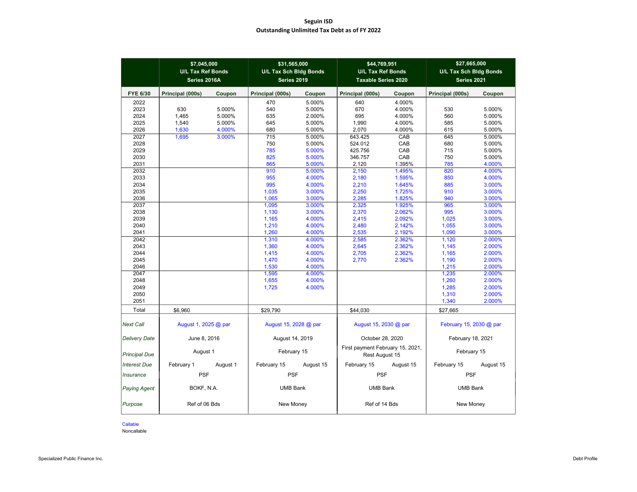#### **Seguin ISD Outstanding Unlimited Tax Debt as of FY 2022**

|                      | \$7,045,000<br><b>U/L Tax Ref Bonds</b><br>Series 2016A |          | \$31,565,000<br><b>U/L Tax Sch Bldg Bonds</b><br>Series 2019 |           | \$44,769,951<br><b>U/L Tax Ref Bonds</b><br><b>Taxable Series 2020</b> |           | \$27,665,000<br>U/L Tax Sch Bldg Bonds<br>Series 2021 |           |
|----------------------|---------------------------------------------------------|----------|--------------------------------------------------------------|-----------|------------------------------------------------------------------------|-----------|-------------------------------------------------------|-----------|
| <b>FYE 6/30</b>      | Principal (000s)                                        | Coupon   | Principal (000s)                                             | Coupon    | Principal (000s)                                                       | Coupon    | Principal (000s)                                      | Coupon    |
| 2022                 |                                                         |          | 470                                                          | 5.000%    | 640                                                                    | 4.000%    |                                                       |           |
| 2023                 | 630                                                     | 5.000%   | 540                                                          | 5.000%    | 670                                                                    | 4.000%    | 530                                                   | 5.000%    |
| 2024                 | 1.465                                                   | 5.000%   | 635                                                          | 2.000%    | 695                                                                    | 4.000%    | 560                                                   | 5.000%    |
| 2025                 | 1.540                                                   | 5.000%   | 645                                                          | 5.000%    | 1,990                                                                  | 4.000%    | 585                                                   | 5.000%    |
| 2026                 | 1,630                                                   | 4.000%   | 680                                                          | 5.000%    | 2,070                                                                  | 4.000%    | 615                                                   | 5.000%    |
| 2027                 | 1,695                                                   | 3.000%   | 715                                                          | 5.000%    | 643.425                                                                | CAB       | 645                                                   | 5.000%    |
| 2028                 |                                                         |          | 750                                                          | 5.000%    | 524.012                                                                | CAB       | 680                                                   | 5.000%    |
| 2029                 |                                                         |          | 785                                                          | 5.000%    | 425.756                                                                | CAB       | 715                                                   | 5.000%    |
| 2030                 |                                                         |          | 825                                                          | 5.000%    | 346.757                                                                | CAB       | 750                                                   | 5.000%    |
| 2031                 |                                                         |          | 865                                                          | 5.000%    | 2,120                                                                  | 1.395%    | 785                                                   | 4.000%    |
| 2032                 |                                                         |          | 910                                                          | 5.000%    | 2,150                                                                  | 1.495%    | 820                                                   | 4.000%    |
| 2033                 |                                                         |          | 955                                                          | 4.000%    | 2,180                                                                  | 1.595%    | 850                                                   | 4.000%    |
| 2034                 |                                                         |          | 995                                                          | 4.000%    | 2,210                                                                  | 1.645%    | 885                                                   | 3.000%    |
| 2035                 |                                                         |          | 1,035                                                        | 3.000%    | 2,250                                                                  | 1.725%    | 910                                                   | 3.000%    |
| 2036                 |                                                         |          | 1.065                                                        | 3.000%    | 2,285                                                                  | 1.825%    | 940                                                   | 3.000%    |
| 2037                 |                                                         |          | 1.095                                                        | 3.000%    | 2,325                                                                  | 1.925%    | 965                                                   | 3.000%    |
| 2038                 |                                                         |          | 1,130                                                        | 3.000%    | 2,370                                                                  | 2.062%    | 995                                                   | 3.000%    |
| 2039                 |                                                         |          | 1,165                                                        | 4.000%    | 2,415                                                                  | 2.092%    | 1,025                                                 | 3.000%    |
| 2040                 |                                                         |          | 1,210                                                        | 4.000%    | 2,480                                                                  | 2.142%    | 1,055                                                 | 3.000%    |
| 2041                 |                                                         |          | 1.260                                                        | 4.000%    | 2.535                                                                  | 2.192%    | 1.090                                                 | 3.000%    |
| 2042                 |                                                         |          | 1,310                                                        | 4.000%    | 2,585                                                                  | 2.362%    | 1,120                                                 | 2.000%    |
| 2043                 |                                                         |          | 1,360                                                        | 4.000%    | 2,645                                                                  | 2.362%    | 1,145                                                 | 2.000%    |
| 2044                 |                                                         |          | 1,415                                                        | 4.000%    | 2,705                                                                  | 2.362%    | 1,165                                                 | 2.000%    |
| 2045                 |                                                         |          | 1,470                                                        | 4.000%    | 2,770                                                                  | 2.362%    | 1,190                                                 | 2.000%    |
| 2046                 |                                                         |          | 1,530                                                        | 4.000%    |                                                                        |           | 1,215                                                 | 2.000%    |
| 2047                 |                                                         |          | 1,595                                                        | 4.000%    |                                                                        |           | 1,235                                                 | 2.000%    |
| 2048                 |                                                         |          | 1,655                                                        | 4.000%    |                                                                        |           | 1,260                                                 | 2.000%    |
| 2049                 |                                                         |          | 1,725                                                        | 4.000%    |                                                                        |           | 1,285                                                 | 2.000%    |
| 2050                 |                                                         |          |                                                              |           |                                                                        |           | 1,310                                                 | 2.000%    |
| 2051                 |                                                         |          |                                                              |           |                                                                        |           | 1,340                                                 | 2.000%    |
|                      |                                                         |          |                                                              |           |                                                                        |           |                                                       |           |
| Total                | \$6,960                                                 |          | \$29,790                                                     |           | \$44,030                                                               |           | \$27,665                                              |           |
| <b>Next Call</b>     | August 1, 2025 @ par                                    |          | August 15, 2028 @ par                                        |           | August 15, 2030 @ par                                                  |           | February 15, 2030 @ par                               |           |
| <b>Delivery Date</b> | June 8, 2016                                            |          | August 14, 2019                                              |           | October 28, 2020                                                       |           | February 18, 2021                                     |           |
| <b>Principal Due</b> | August 1                                                |          | February 15                                                  |           | First payment February 15, 2021,<br>Rest August 15                     |           | February 15                                           |           |
| Interest Due         | February 1                                              | August 1 | February 15                                                  | August 15 | February 15                                                            | August 15 | February 15                                           | August 15 |
| Insurance            | <b>PSF</b>                                              |          | <b>PSF</b>                                                   |           | <b>PSF</b>                                                             |           | <b>PSF</b>                                            |           |
| <b>Paying Agent</b>  | BOKF, N.A.                                              |          | <b>UMB Bank</b>                                              |           | <b>UMB Bank</b>                                                        |           | <b>UMB Bank</b>                                       |           |
| Purpose              | Ref of 06 Bds                                           |          | New Money                                                    |           | Ref of 14 Bds                                                          |           | New Money                                             |           |

Callable

Noncallable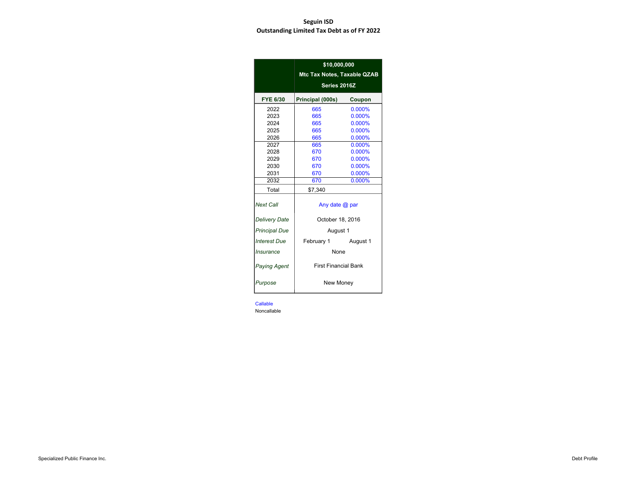#### **Seguin ISD Outstanding Limited Tax Debt as of FY 2022**

|                      | \$10,000,000<br>Mtc Tax Notes, Taxable QZAB |           |
|----------------------|---------------------------------------------|-----------|
|                      | Series 2016Z                                |           |
| <b>FYE 6/30</b>      | Principal (000s)                            | Coupon    |
| 2022                 | 665                                         | 0.000%    |
| 2023                 | 665                                         | 0.000%    |
| 2024                 | 665                                         | 0.000%    |
| 2025                 | 665                                         | 0.000%    |
| 2026                 | 665                                         | 0.000%    |
| 2027                 | 665                                         | $0.000\%$ |
| 2028                 | 670                                         | 0.000%    |
| 2029                 | 670                                         | 0.000%    |
| 2030                 | 670                                         | 0.000%    |
| 2031                 | 670                                         | 0.000%    |
| 2032                 | 670                                         | 0.000%    |
| Total                | \$7,340                                     |           |
| <b>Next Call</b>     | Any date $@$ par                            |           |
| <b>Delivery Date</b> | October 18, 2016                            |           |
| <b>Principal Due</b> | August 1                                    |           |
| <b>Interest Due</b>  | February 1 August 1                         |           |
| <b>Insurance</b>     | <b>None</b>                                 |           |
| <b>Paying Agent</b>  | <b>First Financial Bank</b>                 |           |
| Purpose              | New Money                                   |           |

Callable

**Noncallable**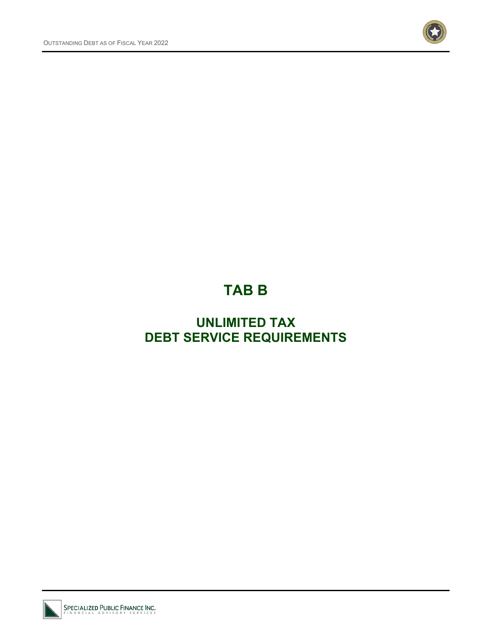

# **TAB B**

# **UNLIMITED TAX DEBT SERVICE REQUIREMENTS**

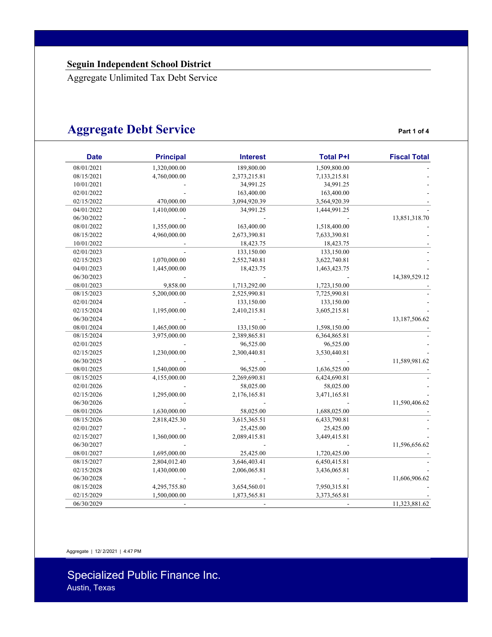# **Aggregate Debt Service** *Part 1 of 4*

| <b>Date</b> | <b>Principal</b> | <b>Interest</b> | <b>Total P+I</b> | <b>Fiscal Total</b> |
|-------------|------------------|-----------------|------------------|---------------------|
| 08/01/2021  | 1,320,000.00     | 189,800.00      | 1,509,800.00     |                     |
| 08/15/2021  | 4,760,000.00     | 2,373,215.81    | 7,133,215.81     |                     |
| 10/01/2021  |                  | 34,991.25       | 34,991.25        |                     |
| 02/01/2022  |                  | 163,400.00      | 163,400.00       |                     |
| 02/15/2022  | 470,000.00       | 3,094,920.39    | 3,564,920.39     |                     |
| 04/01/2022  | 1,410,000.00     | 34,991.25       | 1,444,991.25     |                     |
| 06/30/2022  |                  |                 |                  | 13,851,318.70       |
| 08/01/2022  | 1,355,000.00     | 163,400.00      | 1,518,400.00     |                     |
| 08/15/2022  | 4.960.000.00     | 2,673,390.81    | 7,633,390.81     |                     |
| 10/01/2022  |                  | 18,423.75       | 18,423.75        |                     |
| 02/01/2023  |                  | 133,150.00      | 133,150.00       |                     |
| 02/15/2023  | 1,070,000.00     | 2,552,740.81    | 3,622,740.81     |                     |
| 04/01/2023  | 1,445,000.00     | 18,423.75       | 1,463,423.75     |                     |
| 06/30/2023  |                  |                 |                  | 14,389,529.12       |
| 08/01/2023  | 9,858.00         | 1,713,292.00    | 1,723,150.00     |                     |
| 08/15/2023  | 5,200,000.00     | 2,525,990.81    | 7,725,990.81     |                     |
| 02/01/2024  |                  | 133,150.00      | 133,150.00       |                     |
| 02/15/2024  | 1,195,000.00     | 2,410,215.81    | 3,605,215.81     |                     |
| 06/30/2024  |                  |                 |                  | 13,187,506.62       |
| 08/01/2024  | 1,465,000.00     | 133,150.00      | 1,598,150.00     |                     |
| 08/15/2024  | 3,975,000.00     | 2,389,865.81    | 6,364,865.81     |                     |
| 02/01/2025  |                  | 96,525.00       | 96,525.00        |                     |
| 02/15/2025  | 1,230,000.00     | 2,300,440.81    | 3,530,440.81     |                     |
| 06/30/2025  |                  |                 |                  | 11,589,981.62       |
| 08/01/2025  | 1,540,000.00     | 96,525.00       | 1,636,525.00     |                     |
| 08/15/2025  | 4,155,000.00     | 2,269,690.81    | 6,424,690.81     |                     |
| 02/01/2026  |                  | 58,025.00       | 58,025.00        |                     |
| 02/15/2026  | 1,295,000.00     | 2,176,165.81    | 3,471,165.81     |                     |
| 06/30/2026  |                  |                 |                  | 11,590,406.62       |
| 08/01/2026  | 1,630,000.00     | 58,025.00       | 1,688,025.00     |                     |
| 08/15/2026  | 2,818,425.30     | 3,615,365.51    | 6,433,790.81     |                     |
| 02/01/2027  |                  | 25,425.00       | 25,425.00        |                     |
| 02/15/2027  | 1,360,000.00     | 2,089,415.81    | 3,449,415.81     |                     |
| 06/30/2027  |                  |                 |                  | 11,596,656.62       |
| 08/01/2027  | 1,695,000.00     | 25,425.00       | 1,720,425.00     |                     |
| 08/15/2027  | 2,804,012.40     | 3,646,403.41    | 6,450,415.81     |                     |
| 02/15/2028  | 1,430,000.00     | 2,006,065.81    | 3,436,065.81     |                     |
| 06/30/2028  |                  |                 |                  | 11,606,906.62       |
| 08/15/2028  | 4,295,755.80     | 3,654,560.01    | 7,950,315.81     |                     |
| 02/15/2029  | 1,500,000.00     | 1,873,565.81    | 3,373,565.81     |                     |
| 06/30/2029  |                  |                 |                  | 11,323,881.62       |

Aggregate | 12/ 2/2021 | 4:47 PM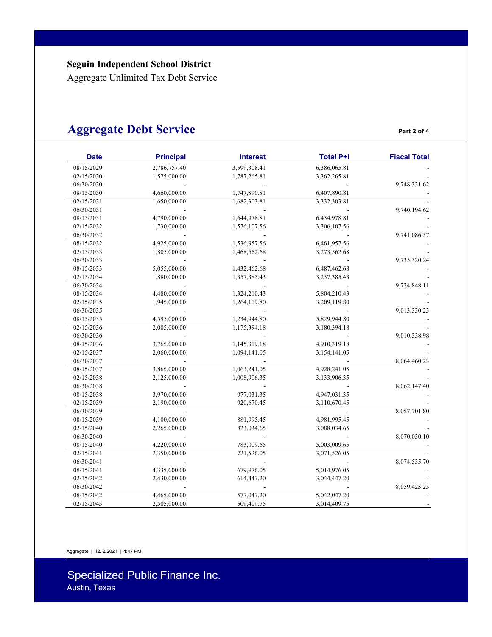# **Aggregate Debt Service** *Part 2 of 4*

| <b>Fiscal Total</b> | <b>Total P+I</b> | <b>Interest</b> | <b>Principal</b> | <b>Date</b> |
|---------------------|------------------|-----------------|------------------|-------------|
|                     | 6,386,065.81     | 3,599,308.41    | 2,786,757.40     | 08/15/2029  |
|                     | 3,362,265.81     | 1,787,265.81    | 1,575,000.00     | 02/15/2030  |
| 9,748,331.62        |                  |                 |                  | 06/30/2030  |
|                     | 6,407,890.81     | 1,747,890.81    | 4,660,000.00     | 08/15/2030  |
|                     | 3,332,303.81     | 1,682,303.81    | 1,650,000.00     | 02/15/2031  |
| 9,740,194.62        |                  |                 |                  | 06/30/2031  |
|                     | 6,434,978.81     | 1,644,978.81    | 4,790,000.00     | 08/15/2031  |
|                     | 3,306,107.56     | 1,576,107.56    | 1,730,000.00     | 02/15/2032  |
| 9,741,086.37        |                  |                 |                  | 06/30/2032  |
|                     | 6,461,957.56     | 1,536,957.56    | 4,925,000.00     | 08/15/2032  |
|                     | 3,273,562.68     | 1,468,562.68    | 1,805,000.00     | 02/15/2033  |
| 9,735,520.24        |                  |                 |                  | 06/30/2033  |
|                     | 6,487,462.68     | 1,432,462.68    | 5,055,000.00     | 08/15/2033  |
|                     | 3,237,385.43     | 1,357,385.43    | 1,880,000.00     | 02/15/2034  |
| 9,724,848.11        |                  |                 |                  | 06/30/2034  |
|                     | 5,804,210.43     | 1,324,210.43    | 4,480,000.00     | 08/15/2034  |
|                     | 3,209,119.80     | 1,264,119.80    | 1,945,000.00     | 02/15/2035  |
| 9,013,330.23        |                  |                 |                  | 06/30/2035  |
|                     | 5,829,944.80     | 1,234,944.80    | 4,595,000.00     | 08/15/2035  |
|                     | 3,180,394.18     | 1,175,394.18    | 2,005,000.00     | 02/15/2036  |
| 9,010,338.98        |                  |                 |                  | 06/30/2036  |
|                     | 4,910,319.18     | 1,145,319.18    | 3,765,000.00     | 08/15/2036  |
|                     | 3,154,141.05     | 1,094,141.05    | 2,060,000.00     | 02/15/2037  |
| 8,064,460.23        |                  |                 |                  | 06/30/2037  |
|                     | 4,928,241.05     | 1,063,241.05    | 3,865,000.00     | 08/15/2037  |
|                     | 3,133,906.35     | 1,008,906.35    | 2,125,000.00     | 02/15/2038  |
| 8,062,147.40        |                  |                 |                  | 06/30/2038  |
|                     | 4,947,031.35     | 977,031.35      | 3,970,000.00     | 08/15/2038  |
|                     | 3,110,670.45     | 920,670.45      | 2,190,000.00     | 02/15/2039  |
| 8,057,701.80        |                  |                 |                  | 06/30/2039  |
|                     | 4,981,995.45     | 881,995.45      | 4,100,000.00     | 08/15/2039  |
|                     | 3,088,034.65     | 823,034.65      | 2,265,000.00     | 02/15/2040  |
| 8,070,030.10        |                  |                 |                  | 06/30/2040  |
|                     | 5,003,009.65     | 783,009.65      | 4,220,000.00     | 08/15/2040  |
|                     | 3,071,526.05     | 721,526.05      | 2,350,000.00     | 02/15/2041  |
| 8,074,535.70        |                  |                 |                  | 06/30/2041  |
|                     | 5,014,976.05     | 679,976.05      | 4,335,000.00     | 08/15/2041  |
|                     | 3,044,447.20     | 614,447.20      | 2,430,000.00     | 02/15/2042  |
| 8,059,423.25        |                  |                 |                  | 06/30/2042  |
|                     | 5,042,047.20     | 577,047.20      | 4,465,000.00     | 08/15/2042  |
|                     | 3,014,409.75     | 509,409.75      | 2,505,000.00     | 02/15/2043  |

Aggregate | 12/ 2/2021 | 4:47 PM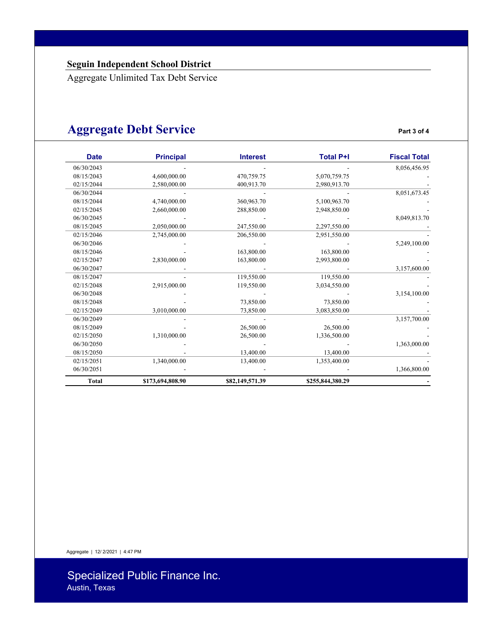# **Aggregate Debt Service** *Part 3 of 4*

| <b>Date</b>  | <b>Principal</b> | <b>Interest</b> | <b>Total P+I</b> | <b>Fiscal Total</b> |
|--------------|------------------|-----------------|------------------|---------------------|
| 06/30/2043   |                  |                 |                  | 8,056,456.95        |
| 08/15/2043   | 4,600,000.00     | 470,759.75      | 5,070,759.75     |                     |
| 02/15/2044   | 2,580,000.00     | 400,913.70      | 2,980,913.70     |                     |
| 06/30/2044   |                  |                 |                  | 8,051,673.45        |
| 08/15/2044   | 4,740,000.00     | 360,963.70      | 5,100,963.70     |                     |
| 02/15/2045   | 2,660,000.00     | 288,850.00      | 2,948,850.00     |                     |
| 06/30/2045   |                  |                 |                  | 8,049,813.70        |
| 08/15/2045   | 2,050,000.00     | 247,550.00      | 2,297,550.00     |                     |
| 02/15/2046   | 2,745,000.00     | 206,550.00      | 2,951,550.00     |                     |
| 06/30/2046   |                  |                 |                  | 5,249,100.00        |
| 08/15/2046   |                  | 163,800.00      | 163,800.00       |                     |
| 02/15/2047   | 2,830,000.00     | 163,800.00      | 2,993,800.00     |                     |
| 06/30/2047   |                  |                 |                  | 3,157,600.00        |
| 08/15/2047   |                  | 119,550.00      | 119,550.00       |                     |
| 02/15/2048   | 2,915,000.00     | 119,550.00      | 3,034,550.00     |                     |
| 06/30/2048   |                  |                 |                  | 3,154,100.00        |
| 08/15/2048   |                  | 73,850.00       | 73,850.00        |                     |
| 02/15/2049   | 3,010,000.00     | 73,850.00       | 3,083,850.00     |                     |
| 06/30/2049   |                  |                 |                  | 3,157,700.00        |
| 08/15/2049   |                  | 26,500.00       | 26,500.00        |                     |
| 02/15/2050   | 1,310,000.00     | 26,500.00       | 1,336,500.00     |                     |
| 06/30/2050   |                  |                 |                  | 1,363,000.00        |
| 08/15/2050   |                  | 13,400.00       | 13,400.00        |                     |
| 02/15/2051   | 1,340,000.00     | 13,400.00       | 1,353,400.00     |                     |
| 06/30/2051   |                  |                 |                  | 1,366,800.00        |
| <b>Total</b> | \$173,694,808.90 | \$82,149,571.39 | \$255,844,380.29 |                     |

Aggregate | 12/ 2/2021 | 4:47 PM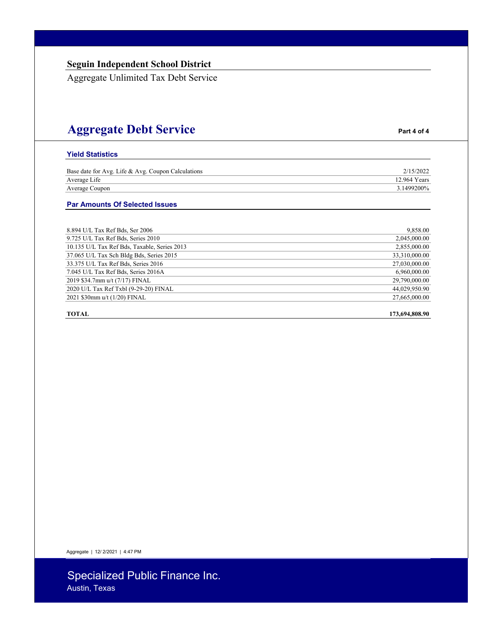# **Aggregate Debt Service Part 4 of 4**

#### **Yield Statistics**

| Base date for Avg. Life & Avg. Coupon Calculations | 2/15/2022    |
|----------------------------------------------------|--------------|
| Average Life                                       | 12.964 Years |
| Average Coupon                                     | 3.1499200%   |

#### **Par Amounts Of Selected Issues**

| 8.894 U/L Tax Ref Bds, Ser 2006              | 9,858.00      |
|----------------------------------------------|---------------|
| 9.725 U/L Tax Ref Bds, Series 2010           | 2,045,000.00  |
| 10.135 U/L Tax Ref Bds, Taxable, Series 2013 | 2,855,000.00  |
| 37.065 U/L Tax Sch Bldg Bds, Series 2015     | 33,310,000.00 |
| 33.375 U/L Tax Ref Bds, Series 2016          | 27,030,000.00 |
| 7.045 U/L Tax Ref Bds, Series 2016A          | 6,960,000.00  |
| 2019 \$34.7mm u/t (7/17) FINAL               | 29,790,000.00 |
| 2020 U/L Tax Ref Txbl (9-29-20) FINAL        | 44,029,950.90 |
| 2021 \$30mm u/t (1/20) FINAL                 | 27,665,000.00 |

#### **TOTAL 173,694,808.90**

Aggregate | 12/ 2/2021 | 4:47 PM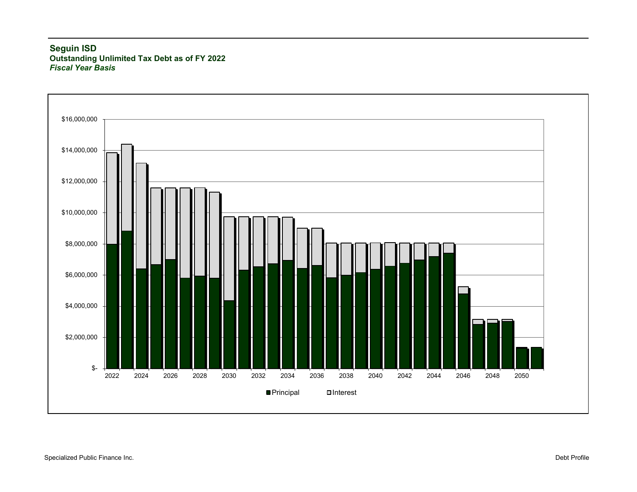#### **Seguin ISD Outstanding Unlimited Tax Debt as of FY 2022** *Fiscal Year Basis*

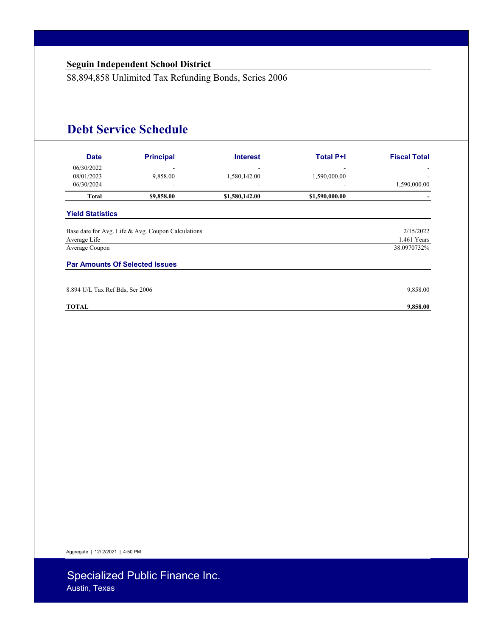\$8,894,858 Unlimited Tax Refunding Bonds, Series 2006

## **Debt Service Schedule**

| <b>Date</b>                           | <b>Principal</b>                                   | <b>Interest</b> | <b>Total P+I</b> | <b>Fiscal Total</b> |
|---------------------------------------|----------------------------------------------------|-----------------|------------------|---------------------|
| 06/30/2022                            |                                                    |                 |                  |                     |
| 08/01/2023                            | 9,858.00                                           | 1,580,142.00    | 1,590,000.00     |                     |
| 06/30/2024                            |                                                    |                 |                  | 1,590,000.00        |
| Total                                 | \$9,858.00                                         | \$1,580,142.00  | \$1,590,000.00   |                     |
| <b>Yield Statistics</b>               |                                                    |                 |                  |                     |
|                                       | Base date for Avg. Life & Avg. Coupon Calculations |                 |                  | 2/15/2022           |
| Average Life                          |                                                    |                 |                  | 1.461 Years         |
| Average Coupon                        |                                                    |                 |                  | 38.0970732%         |
| <b>Par Amounts Of Selected Issues</b> |                                                    |                 |                  |                     |
| 8.894 U/L Tax Ref Bds, Ser 2006       |                                                    |                 |                  | 9,858.00            |
| <b>TOTAL</b>                          |                                                    |                 |                  | 9,858.00            |

Aggregate | 12/ 2/2021 | 4:50 PM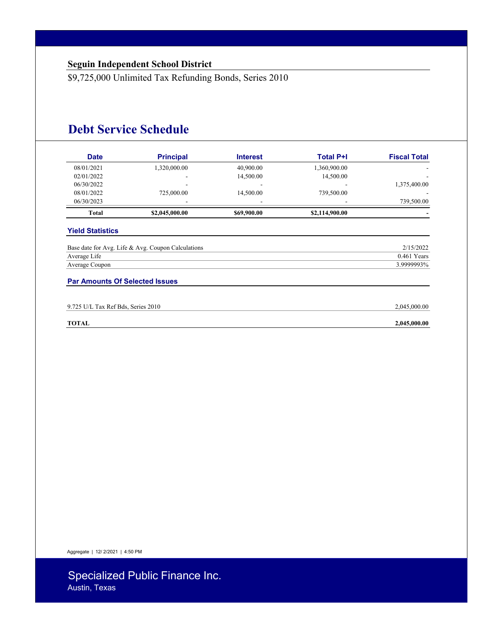\$9,725,000 Unlimited Tax Refunding Bonds, Series 2010

## **Debt Service Schedule**

| <b>Date</b>                    | <b>Principal</b>                                   | <b>Interest</b> | <b>Total P+I</b> | <b>Fiscal Total</b>        |
|--------------------------------|----------------------------------------------------|-----------------|------------------|----------------------------|
| 08/01/2021                     | 1,320,000.00                                       | 40,900.00       | 1,360,900.00     |                            |
| 02/01/2022                     | ۰                                                  | 14,500.00       | 14,500.00        |                            |
| 06/30/2022                     | ۰                                                  |                 | -                | 1,375,400.00               |
| 08/01/2022                     | 725,000.00                                         | 14,500.00       | 739,500.00       |                            |
| 06/30/2023                     | ۰                                                  |                 |                  | 739,500.00                 |
| <b>Total</b>                   | \$2,045,000.00                                     | \$69,900.00     | \$2,114,900.00   |                            |
| <b>Yield Statistics</b>        |                                                    |                 |                  |                            |
|                                |                                                    |                 |                  |                            |
|                                | Base date for Avg. Life & Avg. Coupon Calculations |                 |                  | 2/15/2022<br>$0.461$ Years |
| Average Life<br>Average Coupon |                                                    |                 |                  | 3.9999993%                 |

| 9.725 U/L Tax Ref Bds. 9<br>2010<br>Series. | 2.045.000.00 |
|---------------------------------------------|--------------|
|                                             |              |

Aggregate | 12/ 2/2021 | 4:50 PM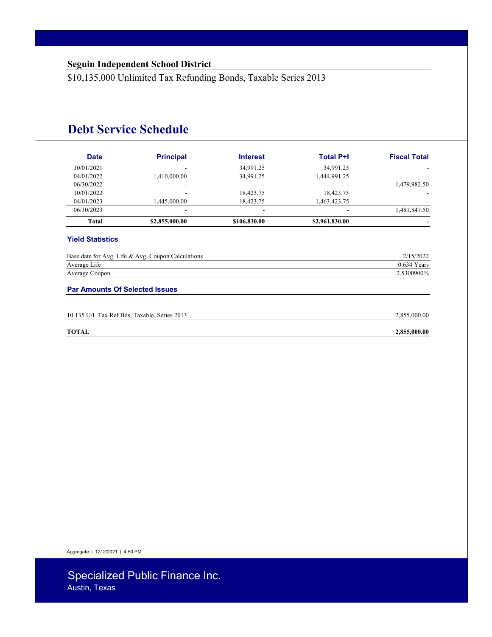\$10,135,000 Unlimited Tax Refunding Bonds, Taxable Series 2013

## **Debt Service Schedule**

| <b>Date</b>                           | <b>Principal</b>                                   | <b>Interest</b> | <b>Total P+I</b> | <b>Fiscal Total</b>        |
|---------------------------------------|----------------------------------------------------|-----------------|------------------|----------------------------|
| 10/01/2021                            |                                                    | 34,991.25       | 34,991.25        |                            |
| 04/01/2022                            | 1,410,000.00                                       | 34,991.25       | 1,444,991.25     |                            |
| 06/30/2022                            |                                                    |                 |                  | 1,479,982.50               |
| 10/01/2022                            |                                                    | 18,423.75       | 18,423.75        |                            |
| 04/01/2023                            | 1,445,000.00                                       | 18,423.75       | 1,463,423.75     |                            |
| 06/30/2023                            |                                                    |                 |                  | 1,481,847.50               |
| <b>Total</b>                          | \$2,855,000.00                                     | \$106,830.00    | \$2,961,830.00   |                            |
| Average Life                          | Base date for Avg. Life & Avg. Coupon Calculations |                 |                  | 2/15/2022<br>$0.634$ Years |
| Average Coupon                        |                                                    |                 |                  | 2.5300900%                 |
| <b>Par Amounts Of Selected Issues</b> |                                                    |                 |                  |                            |
|                                       | 10.135 U/L Tax Ref Bds, Taxable, Series 2013       |                 |                  | 2,855,000.00               |
| <b>TOTAL</b>                          |                                                    |                 |                  | 2,855,000.00               |

Aggregate | 12/ 2/2021 | 4:50 PM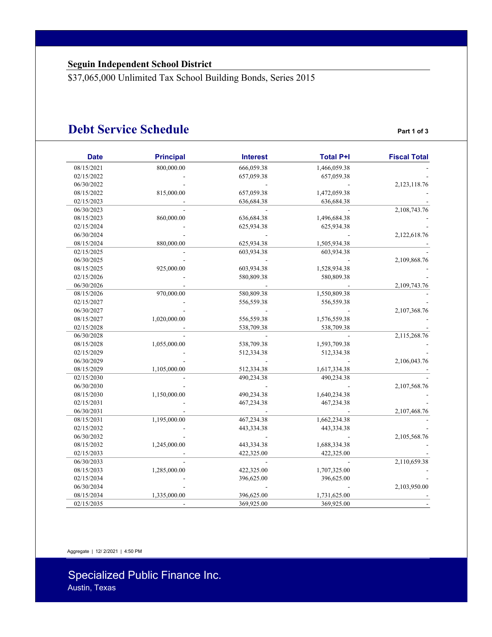\$37,065,000 Unlimited Tax School Building Bonds, Series 2015

### **Debt Service Schedule Part 1 of 3**

| <b>Date</b> | <b>Principal</b> | <b>Interest</b> | <b>Total P+I</b> | <b>Fiscal Total</b> |
|-------------|------------------|-----------------|------------------|---------------------|
| 08/15/2021  | 800,000.00       | 666,059.38      | 1,466,059.38     |                     |
| 02/15/2022  |                  | 657,059.38      | 657,059.38       |                     |
| 06/30/2022  |                  |                 |                  | 2,123,118.76        |
| 08/15/2022  | 815,000.00       | 657,059.38      | 1,472,059.38     |                     |
| 02/15/2023  |                  | 636,684.38      | 636,684.38       |                     |
| 06/30/2023  |                  |                 |                  | 2,108,743.76        |
| 08/15/2023  | 860,000.00       | 636,684.38      | 1,496,684.38     |                     |
| 02/15/2024  |                  | 625,934.38      | 625,934.38       |                     |
| 06/30/2024  |                  |                 |                  | 2,122,618.76        |
| 08/15/2024  | 880,000.00       | 625,934.38      | 1,505,934.38     |                     |
| 02/15/2025  |                  | 603,934.38      | 603,934.38       |                     |
| 06/30/2025  |                  |                 |                  | 2,109,868.76        |
| 08/15/2025  | 925,000.00       | 603,934.38      | 1,528,934.38     |                     |
| 02/15/2026  |                  | 580,809.38      | 580,809.38       |                     |
| 06/30/2026  |                  |                 |                  | 2,109,743.76        |
| 08/15/2026  | 970,000.00       | 580,809.38      | 1,550,809.38     |                     |
| 02/15/2027  |                  | 556,559.38      | 556,559.38       |                     |
| 06/30/2027  |                  |                 |                  | 2,107,368.76        |
| 08/15/2027  | 1,020,000.00     | 556,559.38      | 1,576,559.38     |                     |
| 02/15/2028  |                  | 538,709.38      | 538,709.38       |                     |
| 06/30/2028  |                  |                 |                  | 2,115,268.76        |
| 08/15/2028  | 1,055,000.00     | 538,709.38      | 1,593,709.38     |                     |
| 02/15/2029  |                  | 512,334.38      | 512,334.38       |                     |
| 06/30/2029  |                  |                 |                  | 2,106,043.76        |
| 08/15/2029  | 1,105,000.00     | 512,334.38      | 1,617,334.38     |                     |
| 02/15/2030  |                  | 490,234.38      | 490,234.38       |                     |
| 06/30/2030  |                  |                 |                  | 2,107,568.76        |
| 08/15/2030  | 1,150,000.00     | 490,234.38      | 1,640,234.38     |                     |
| 02/15/2031  |                  | 467,234.38      | 467,234.38       |                     |
| 06/30/2031  |                  |                 |                  | 2,107,468.76        |
| 08/15/2031  | 1,195,000.00     | 467,234.38      | 1,662,234.38     |                     |
| 02/15/2032  |                  | 443,334.38      | 443,334.38       |                     |
| 06/30/2032  |                  |                 |                  | 2,105,568.76        |
| 08/15/2032  | 1,245,000.00     | 443,334.38      | 1,688,334.38     |                     |
| 02/15/2033  |                  | 422,325.00      | 422,325.00       |                     |
| 06/30/2033  |                  |                 |                  | 2,110,659.38        |
| 08/15/2033  | 1,285,000.00     | 422,325.00      | 1,707,325.00     |                     |
| 02/15/2034  |                  | 396,625.00      | 396,625.00       |                     |
| 06/30/2034  |                  |                 |                  | 2,103,950.00        |
| 08/15/2034  | 1,335,000.00     | 396,625.00      | 1,731,625.00     |                     |
| 02/15/2035  |                  | 369,925.00      | 369,925.00       |                     |

Aggregate | 12/ 2/2021 | 4:50 PM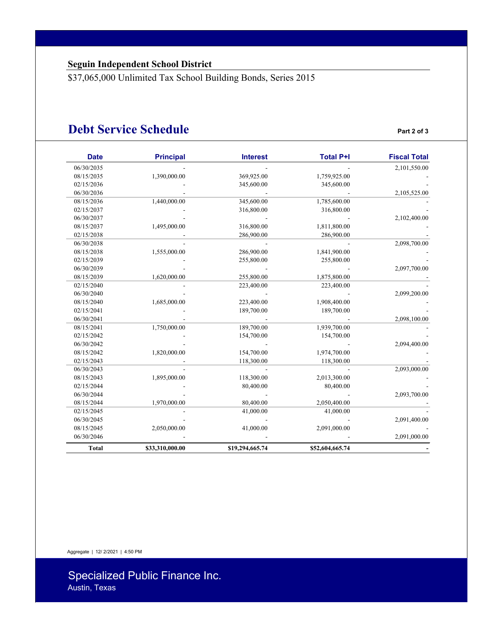\$37,065,000 Unlimited Tax School Building Bonds, Series 2015

### **Debt Service Schedule Part 2 of 3**

| <b>Date</b>  | <b>Principal</b> | <b>Interest</b> | <b>Total P+I</b> | <b>Fiscal Total</b> |
|--------------|------------------|-----------------|------------------|---------------------|
| 06/30/2035   |                  |                 |                  | 2,101,550.00        |
| 08/15/2035   | 1,390,000.00     | 369,925.00      | 1,759,925.00     |                     |
| 02/15/2036   |                  | 345,600.00      | 345,600.00       |                     |
| 06/30/2036   |                  |                 |                  | 2,105,525.00        |
| 08/15/2036   | 1,440,000.00     | 345,600.00      | 1,785,600.00     |                     |
| 02/15/2037   |                  | 316,800.00      | 316,800.00       |                     |
| 06/30/2037   |                  |                 |                  | 2,102,400.00        |
| 08/15/2037   | 1,495,000.00     | 316,800.00      | 1,811,800.00     |                     |
| 02/15/2038   |                  | 286,900.00      | 286,900.00       |                     |
| 06/30/2038   |                  |                 |                  | 2,098,700.00        |
| 08/15/2038   | 1,555,000.00     | 286,900.00      | 1,841,900.00     |                     |
| 02/15/2039   |                  | 255,800.00      | 255,800.00       |                     |
| 06/30/2039   |                  |                 |                  | 2,097,700.00        |
| 08/15/2039   | 1,620,000.00     | 255,800.00      | 1,875,800.00     |                     |
| 02/15/2040   |                  | 223,400.00      | 223,400.00       |                     |
| 06/30/2040   |                  |                 |                  | 2,099,200.00        |
| 08/15/2040   | 1,685,000.00     | 223,400.00      | 1,908,400.00     |                     |
| 02/15/2041   |                  | 189,700.00      | 189,700.00       |                     |
| 06/30/2041   |                  |                 |                  | 2,098,100.00        |
| 08/15/2041   | 1,750,000.00     | 189,700.00      | 1,939,700.00     |                     |
| 02/15/2042   |                  | 154,700.00      | 154,700.00       |                     |
| 06/30/2042   |                  |                 |                  | 2,094,400.00        |
| 08/15/2042   | 1,820,000.00     | 154,700.00      | 1,974,700.00     |                     |
| 02/15/2043   |                  | 118,300.00      | 118,300.00       |                     |
| 06/30/2043   |                  |                 |                  | 2,093,000.00        |
| 08/15/2043   | 1,895,000.00     | 118,300.00      | 2,013,300.00     |                     |
| 02/15/2044   |                  | 80,400.00       | 80,400.00        |                     |
| 06/30/2044   |                  |                 |                  | 2,093,700.00        |
| 08/15/2044   | 1,970,000.00     | 80,400.00       | 2,050,400.00     |                     |
| 02/15/2045   |                  | 41,000.00       | 41,000.00        |                     |
| 06/30/2045   |                  |                 |                  | 2,091,400.00        |
| 08/15/2045   | 2,050,000.00     | 41,000.00       | 2,091,000.00     |                     |
| 06/30/2046   |                  |                 |                  | 2,091,000.00        |
| <b>Total</b> | \$33,310,000.00  | \$19,294,665.74 | \$52,604,665.74  |                     |

Aggregate | 12/ 2/2021 | 4:50 PM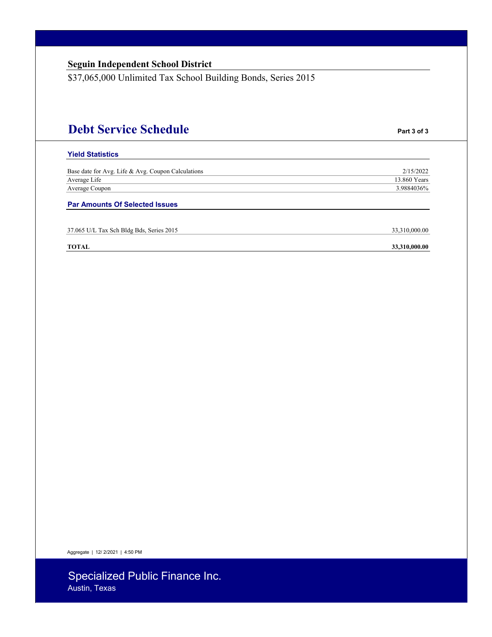|  |  | <b>Seguin Independent School District</b> |
|--|--|-------------------------------------------|
|  |  |                                           |

\$37,065,000 Unlimited Tax School Building Bonds, Series 2015

# **Debt Service Schedule Part 3 of 3**

#### **Yield Statistics**

| Base date for Avg. Life & Avg. Coupon Calculations | 2/15/2022    |
|----------------------------------------------------|--------------|
| Average Life                                       | 13.860 Years |
| Average Coupon                                     | 3.9884036%   |
|                                                    |              |

**Par Amounts Of Selected Issues** 

| 37.065 U/L Tax Sch Bldg Bds, Series 2015 | 33,310,000.00 |
|------------------------------------------|---------------|
|------------------------------------------|---------------|

#### **TOTAL 33,310,000.00**

Aggregate | 12/ 2/2021 | 4:50 PM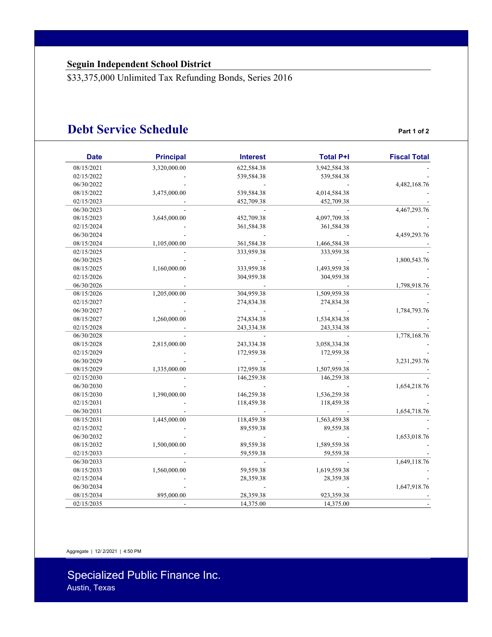\$33,375,000 Unlimited Tax Refunding Bonds, Series 2016

### **Debt Service Schedule Part 1 of 2**

| <b>Date</b> | <b>Principal</b> | <b>Interest</b> | <b>Total P+I</b> | <b>Fiscal Total</b> |
|-------------|------------------|-----------------|------------------|---------------------|
| 08/15/2021  | 3,320,000.00     | 622,584.38      | 3,942,584.38     |                     |
| 02/15/2022  |                  | 539,584.38      | 539,584.38       |                     |
| 06/30/2022  |                  |                 |                  | 4,482,168.76        |
| 08/15/2022  | 3,475,000.00     | 539,584.38      | 4,014,584.38     |                     |
| 02/15/2023  |                  | 452,709.38      | 452,709.38       |                     |
| 06/30/2023  |                  |                 |                  | 4,467,293.76        |
| 08/15/2023  | 3,645,000.00     | 452,709.38      | 4,097,709.38     |                     |
| 02/15/2024  |                  | 361,584.38      | 361,584.38       |                     |
| 06/30/2024  |                  |                 |                  | 4,459,293.76        |
| 08/15/2024  | 1,105,000.00     | 361,584.38      | 1,466,584.38     |                     |
| 02/15/2025  |                  | 333,959.38      | 333,959.38       |                     |
| 06/30/2025  |                  |                 |                  | 1,800,543.76        |
| 08/15/2025  | 1,160,000.00     | 333,959.38      | 1,493,959.38     |                     |
| 02/15/2026  |                  | 304,959.38      | 304,959.38       |                     |
| 06/30/2026  |                  |                 |                  | 1,798,918.76        |
| 08/15/2026  | 1,205,000.00     | 304,959.38      | 1,509,959.38     |                     |
| 02/15/2027  |                  | 274,834.38      | 274,834.38       |                     |
| 06/30/2027  |                  |                 |                  | 1,784,793.76        |
| 08/15/2027  | 1,260,000.00     | 274,834.38      | 1,534,834.38     |                     |
| 02/15/2028  |                  | 243,334.38      | 243,334.38       |                     |
| 06/30/2028  |                  |                 |                  | 1,778,168.76        |
| 08/15/2028  | 2,815,000.00     | 243,334.38      | 3,058,334.38     |                     |
| 02/15/2029  |                  | 172,959.38      | 172,959.38       |                     |
| 06/30/2029  |                  |                 |                  | 3,231,293.76        |
| 08/15/2029  | 1,335,000.00     | 172,959.38      | 1,507,959.38     |                     |
| 02/15/2030  |                  | 146,259.38      | 146,259.38       |                     |
| 06/30/2030  |                  |                 |                  | 1,654,218.76        |
| 08/15/2030  | 1,390,000.00     | 146,259.38      | 1,536,259.38     |                     |
| 02/15/2031  |                  | 118,459.38      | 118,459.38       |                     |
| 06/30/2031  |                  |                 |                  | 1,654,718.76        |
| 08/15/2031  | 1,445,000.00     | 118,459.38      | 1,563,459.38     |                     |
| 02/15/2032  |                  | 89,559.38       | 89,559.38        |                     |
| 06/30/2032  |                  |                 |                  | 1,653,018.76        |
| 08/15/2032  | 1,500,000.00     | 89,559.38       | 1,589,559.38     |                     |
| 02/15/2033  |                  | 59,559.38       | 59,559.38        |                     |
| 06/30/2033  |                  |                 |                  | 1,649,118.76        |
| 08/15/2033  | 1,560,000.00     | 59,559.38       | 1,619,559.38     |                     |
| 02/15/2034  |                  | 28,359.38       | 28,359.38        |                     |
| 06/30/2034  |                  |                 |                  | 1,647,918.76        |
| 08/15/2034  | 895,000.00       | 28,359.38       | 923,359.38       |                     |
| 02/15/2035  |                  | 14,375.00       | 14,375.00        |                     |

Aggregate | 12/ 2/2021 | 4:50 PM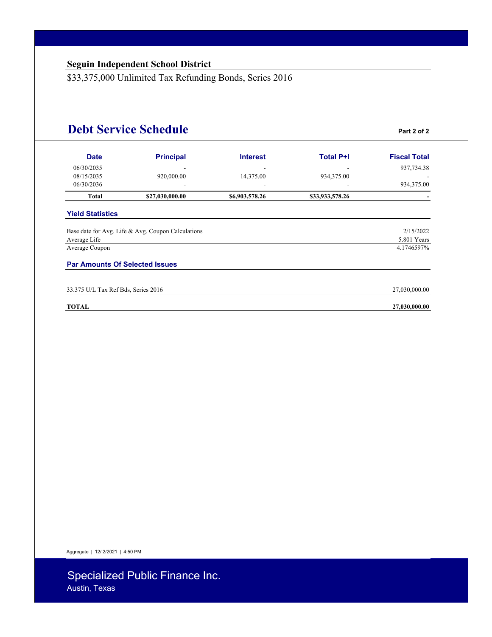\$33,375,000 Unlimited Tax Refunding Bonds, Series 2016

### **Debt Service Schedule Part 2 of 2**

| <b>Date</b>                           | <b>Principal</b>                                   | <b>Interest</b> | <b>Total P+I</b> | <b>Fiscal Total</b> |
|---------------------------------------|----------------------------------------------------|-----------------|------------------|---------------------|
| 06/30/2035                            |                                                    |                 |                  | 937,734.38          |
| 08/15/2035                            | 920,000.00                                         | 14,375.00       | 934,375.00       |                     |
| 06/30/2036                            |                                                    |                 |                  | 934,375.00          |
| Total                                 | \$27,030,000.00                                    | \$6,903,578.26  | \$33,933,578.26  |                     |
| <b>Yield Statistics</b>               |                                                    |                 |                  |                     |
|                                       | Base date for Avg. Life & Avg. Coupon Calculations |                 |                  | 2/15/2022           |
| Average Life                          |                                                    |                 |                  | 5.801 Years         |
| Average Coupon                        |                                                    |                 |                  | 4.1746597%          |
| <b>Par Amounts Of Selected Issues</b> |                                                    |                 |                  |                     |
| 33.375 U/L Tax Ref Bds, Series 2016   |                                                    |                 |                  | 27,030,000.00       |
| <b>TOTAL</b>                          |                                                    |                 |                  | 27,030,000.00       |

Aggregate | 12/ 2/2021 | 4:50 PM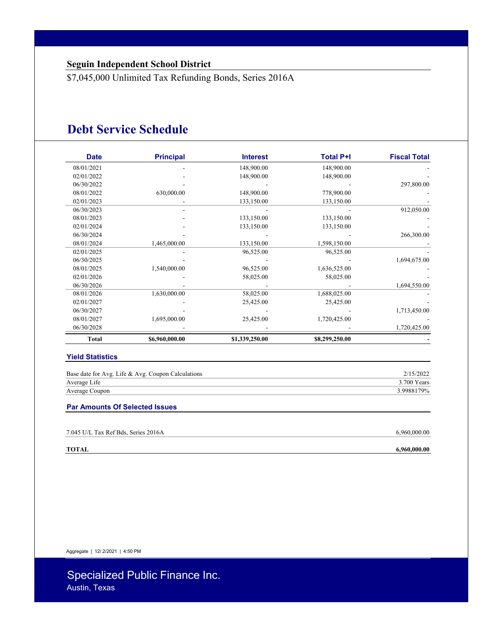\$7,045,000 Unlimited Tax Refunding Bonds, Series 2016A

### **Debt Service Schedule**

| <b>Date</b>  | <b>Principal</b> | <b>Interest</b> | <b>Total P+I</b> | <b>Fiscal Total</b> |
|--------------|------------------|-----------------|------------------|---------------------|
| 08/01/2021   |                  | 148,900.00      | 148,900.00       |                     |
| 02/01/2022   |                  | 148,900.00      | 148,900.00       |                     |
| 06/30/2022   |                  |                 |                  | 297,800.00          |
| 08/01/2022   | 630,000.00       | 148,900.00      | 778,900.00       |                     |
| 02/01/2023   |                  | 133,150.00      | 133,150.00       |                     |
| 06/30/2023   |                  |                 |                  | 912,050.00          |
| 08/01/2023   |                  | 133,150.00      | 133,150.00       |                     |
| 02/01/2024   |                  | 133,150.00      | 133,150.00       |                     |
| 06/30/2024   |                  |                 |                  | 266,300.00          |
| 08/01/2024   | 1,465,000.00     | 133,150.00      | 1,598,150.00     |                     |
| 02/01/2025   |                  | 96,525.00       | 96,525.00        |                     |
| 06/30/2025   |                  |                 |                  | 1,694,675.00        |
| 08/01/2025   | 1,540,000.00     | 96,525.00       | 1,636,525.00     |                     |
| 02/01/2026   |                  | 58,025.00       | 58,025.00        |                     |
| 06/30/2026   |                  |                 |                  | 1,694,550.00        |
| 08/01/2026   | 1,630,000.00     | 58,025.00       | 1,688,025.00     |                     |
| 02/01/2027   |                  | 25,425.00       | 25,425.00        |                     |
| 06/30/2027   |                  |                 |                  | 1,713,450.00        |
| 08/01/2027   | 1,695,000.00     | 25,425.00       | 1,720,425.00     |                     |
| 06/30/2028   |                  |                 |                  | 1,720,425.00        |
| <b>Total</b> | \$6,960,000.00   | \$1,339,250.00  | \$8,299,250.00   |                     |

#### **Yield Statistics**

| Base date for Avg. Life & Avg. Coupon Calculations | 2/15/2022   |
|----------------------------------------------------|-------------|
| Average Life                                       | 3.700 Years |
| Average Coupon                                     | 3.9988179%  |

#### **Par Amounts Of Selected Issues**

| 7.045 U/L Tax Ref Bds, Series 2016A | 6,960,000.00 |
|-------------------------------------|--------------|
| TOTAL                               | 6,960,000.00 |

Aggregate | 12/ 2/2021 | 4:50 PM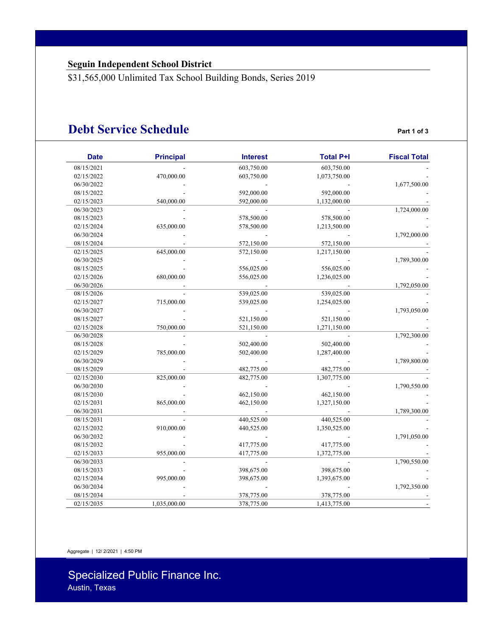\$31,565,000 Unlimited Tax School Building Bonds, Series 2019

### **Debt Service Schedule Part 1 of 3**

| <b>Date</b> | <b>Principal</b> | <b>Interest</b> | <b>Total P+I</b> | <b>Fiscal Total</b> |
|-------------|------------------|-----------------|------------------|---------------------|
| 08/15/2021  |                  | 603,750.00      | 603,750.00       |                     |
| 02/15/2022  | 470,000.00       | 603,750.00      | 1,073,750.00     |                     |
| 06/30/2022  |                  |                 |                  | 1,677,500.00        |
| 08/15/2022  |                  | 592,000.00      | 592,000.00       |                     |
| 02/15/2023  | 540,000.00       | 592,000.00      | 1,132,000.00     |                     |
| 06/30/2023  |                  |                 |                  | 1,724,000.00        |
| 08/15/2023  |                  | 578,500.00      | 578,500.00       |                     |
| 02/15/2024  | 635,000.00       | 578,500.00      | 1,213,500.00     |                     |
| 06/30/2024  |                  |                 |                  | 1,792,000.00        |
| 08/15/2024  |                  | 572,150.00      | 572,150.00       |                     |
| 02/15/2025  | 645,000.00       | 572,150.00      | 1,217,150.00     |                     |
| 06/30/2025  |                  |                 |                  | 1,789,300.00        |
| 08/15/2025  |                  | 556,025.00      | 556,025.00       |                     |
| 02/15/2026  | 680,000.00       | 556,025.00      | 1,236,025.00     |                     |
| 06/30/2026  |                  |                 |                  | 1,792,050.00        |
| 08/15/2026  |                  | 539,025.00      | 539,025.00       |                     |
| 02/15/2027  | 715,000.00       | 539,025.00      | 1,254,025.00     |                     |
| 06/30/2027  |                  |                 |                  | 1,793,050.00        |
| 08/15/2027  |                  | 521,150.00      | 521,150.00       |                     |
| 02/15/2028  | 750,000.00       | 521,150.00      | 1,271,150.00     |                     |
| 06/30/2028  |                  |                 |                  | 1,792,300.00        |
| 08/15/2028  |                  | 502,400.00      | 502,400.00       |                     |
| 02/15/2029  | 785,000.00       | 502,400.00      | 1,287,400.00     |                     |
| 06/30/2029  |                  |                 |                  | 1,789,800.00        |
| 08/15/2029  |                  | 482,775.00      | 482,775.00       |                     |
| 02/15/2030  | 825,000.00       | 482,775.00      | 1,307,775.00     |                     |
| 06/30/2030  |                  |                 |                  | 1,790,550.00        |
| 08/15/2030  |                  | 462,150.00      | 462,150.00       |                     |
| 02/15/2031  | 865,000.00       | 462,150.00      | 1,327,150.00     |                     |
| 06/30/2031  |                  |                 |                  | 1,789,300.00        |
| 08/15/2031  |                  | 440,525.00      | 440,525.00       |                     |
| 02/15/2032  | 910,000.00       | 440,525.00      | 1,350,525.00     |                     |
| 06/30/2032  |                  |                 |                  | 1,791,050.00        |
| 08/15/2032  |                  | 417,775.00      | 417,775.00       |                     |
| 02/15/2033  | 955,000.00       | 417,775.00      | 1,372,775.00     |                     |
| 06/30/2033  |                  |                 |                  | 1,790,550.00        |
| 08/15/2033  |                  | 398,675.00      | 398,675.00       |                     |
| 02/15/2034  | 995,000.00       | 398,675.00      | 1,393,675.00     |                     |
| 06/30/2034  |                  |                 |                  | 1,792,350.00        |
| 08/15/2034  |                  | 378,775.00      | 378,775.00       |                     |
| 02/15/2035  | 1,035,000.00     | 378,775.00      | 1,413,775.00     |                     |

Aggregate | 12/ 2/2021 | 4:50 PM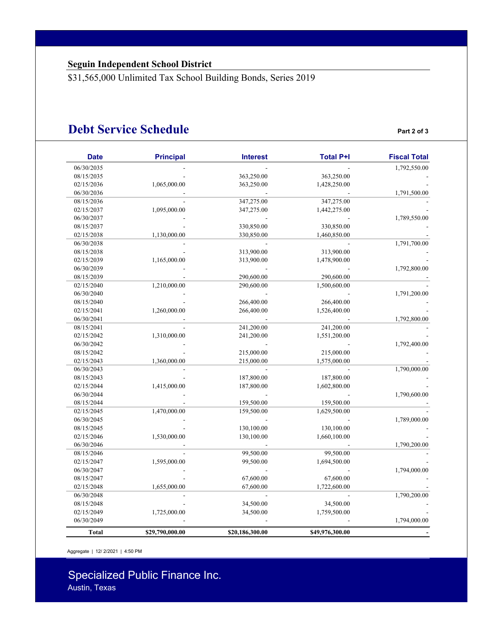\$31,565,000 Unlimited Tax School Building Bonds, Series 2019

### **Debt Service Schedule Part 2 of 3**

| <b>Date</b>  | <b>Principal</b> | <b>Interest</b> | <b>Total P+I</b> | <b>Fiscal Total</b> |
|--------------|------------------|-----------------|------------------|---------------------|
| 06/30/2035   |                  |                 |                  | 1,792,550.00        |
| 08/15/2035   |                  | 363,250.00      | 363,250.00       |                     |
| 02/15/2036   | 1,065,000.00     | 363,250.00      | 1,428,250.00     |                     |
| 06/30/2036   |                  |                 |                  | 1,791,500.00        |
| 08/15/2036   |                  | 347,275.00      | 347,275.00       |                     |
| 02/15/2037   | 1,095,000.00     | 347,275.00      | 1,442,275.00     |                     |
| 06/30/2037   |                  |                 |                  | 1,789,550.00        |
| 08/15/2037   |                  | 330,850.00      | 330,850.00       |                     |
| 02/15/2038   | 1,130,000.00     | 330,850.00      | 1,460,850.00     |                     |
| 06/30/2038   |                  |                 |                  | 1,791,700.00        |
| 08/15/2038   |                  | 313,900.00      | 313,900.00       |                     |
| 02/15/2039   | 1,165,000.00     | 313,900.00      | 1,478,900.00     |                     |
| 06/30/2039   |                  |                 |                  | 1,792,800.00        |
| 08/15/2039   |                  | 290,600.00      | 290,600.00       |                     |
| 02/15/2040   | 1,210,000.00     | 290,600.00      | 1,500,600.00     |                     |
| 06/30/2040   |                  |                 |                  | 1,791,200.00        |
| 08/15/2040   |                  | 266,400.00      | 266,400.00       |                     |
| 02/15/2041   | 1,260,000.00     | 266,400.00      | 1,526,400.00     |                     |
| 06/30/2041   |                  |                 |                  | 1,792,800.00        |
| 08/15/2041   |                  | 241,200.00      | 241,200.00       |                     |
| 02/15/2042   | 1,310,000.00     | 241,200.00      | 1,551,200.00     |                     |
| 06/30/2042   |                  |                 |                  | 1,792,400.00        |
| 08/15/2042   |                  | 215,000.00      | 215,000.00       |                     |
| 02/15/2043   | 1,360,000.00     | 215,000.00      | 1,575,000.00     |                     |
| 06/30/2043   |                  |                 |                  | 1,790,000.00        |
| 08/15/2043   |                  | 187,800.00      | 187,800.00       |                     |
| 02/15/2044   | 1,415,000.00     | 187,800.00      | 1,602,800.00     |                     |
| 06/30/2044   |                  |                 |                  | 1,790,600.00        |
| 08/15/2044   |                  | 159,500.00      | 159,500.00       |                     |
| 02/15/2045   | 1,470,000.00     | 159,500.00      | 1,629,500.00     |                     |
| 06/30/2045   |                  |                 |                  | 1,789,000.00        |
| 08/15/2045   |                  | 130,100.00      | 130,100.00       |                     |
| 02/15/2046   | 1,530,000.00     | 130,100.00      | 1,660,100.00     |                     |
| 06/30/2046   |                  |                 |                  | 1,790,200.00        |
| 08/15/2046   |                  | 99,500.00       | 99,500.00        |                     |
| 02/15/2047   | 1,595,000.00     | 99,500.00       | 1,694,500.00     |                     |
| 06/30/2047   |                  |                 |                  | 1,794,000.00        |
| 08/15/2047   |                  | 67,600.00       | 67,600.00        |                     |
| 02/15/2048   | 1,655,000.00     | 67,600.00       | 1,722,600.00     |                     |
| 06/30/2048   |                  |                 |                  | 1,790,200.00        |
| 08/15/2048   |                  | 34,500.00       | 34,500.00        |                     |
| 02/15/2049   | 1,725,000.00     | 34,500.00       | 1,759,500.00     |                     |
| 06/30/2049   |                  |                 |                  | 1,794,000.00        |
|              |                  |                 |                  |                     |
| <b>Total</b> | \$29,790,000.00  | \$20,186,300.00 | \$49,976,300.00  |                     |

Aggregate | 12/ 2/2021 | 4:50 PM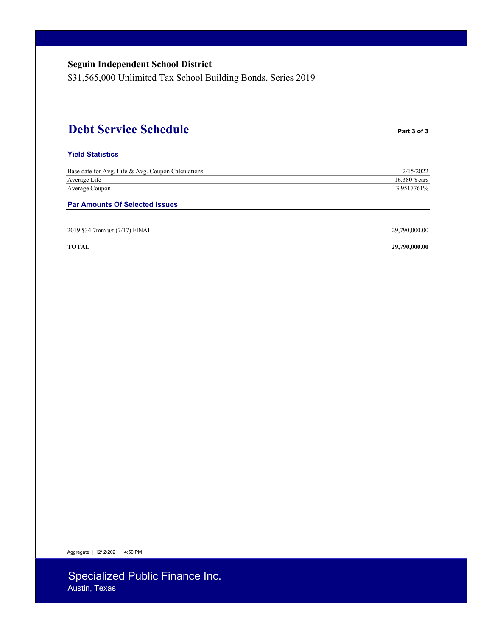| <b>Seguin Independent School District</b><br>\$31,565,000 Unlimited Tax School Building Bonds, Series 2019 |               |
|------------------------------------------------------------------------------------------------------------|---------------|
|                                                                                                            |               |
|                                                                                                            |               |
|                                                                                                            |               |
| <b>Debt Service Schedule</b>                                                                               | Part 3 of 3   |
| <b>Yield Statistics</b>                                                                                    |               |
| Base date for Avg. Life & Avg. Coupon Calculations                                                         | 2/15/2022     |
| Average Life                                                                                               | 16.380 Years  |
| Average Coupon                                                                                             | 3.9517761%    |
| <b>Par Amounts Of Selected Issues</b>                                                                      |               |
| 2019 \$34.7mm u/t (7/17) FINAL                                                                             | 29,790,000.00 |
| <b>TOTAL</b>                                                                                               | 29,790,000.00 |

Aggregate | 12/ 2/2021 | 4:50 PM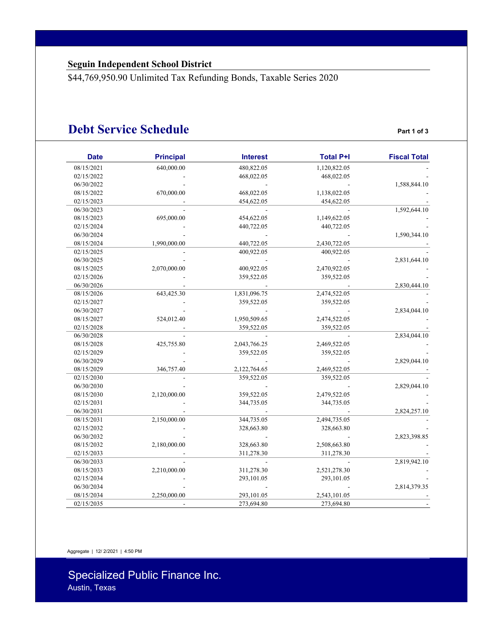\$44,769,950.90 Unlimited Tax Refunding Bonds, Taxable Series 2020

### **Debt Service Schedule Part 1 of 3**

| <b>Fiscal Total</b> | <b>Total P+I</b> | <b>Interest</b> | <b>Principal</b> | <b>Date</b> |
|---------------------|------------------|-----------------|------------------|-------------|
|                     | 1,120,822.05     | 480,822.05      | 640,000.00       | 08/15/2021  |
|                     | 468,022.05       | 468,022.05      |                  | 02/15/2022  |
| 1,588,844.10        |                  |                 |                  | 06/30/2022  |
|                     | 1,138,022.05     | 468,022.05      | 670,000.00       | 08/15/2022  |
|                     | 454,622.05       | 454,622.05      |                  | 02/15/2023  |
| 1,592,644.10        |                  |                 |                  | 06/30/2023  |
|                     | 1,149,622.05     | 454,622.05      | 695,000.00       | 08/15/2023  |
|                     | 440,722.05       | 440,722.05      |                  | 02/15/2024  |
| 1,590,344.10        |                  |                 |                  | 06/30/2024  |
|                     | 2,430,722.05     | 440,722.05      | 1,990,000.00     | 08/15/2024  |
|                     | 400,922.05       | 400,922.05      |                  | 02/15/2025  |
| 2,831,644.10        |                  |                 |                  | 06/30/2025  |
|                     | 2,470,922.05     | 400,922.05      | 2,070,000.00     | 08/15/2025  |
|                     | 359,522.05       | 359,522.05      |                  | 02/15/2026  |
| 2,830,444.10        |                  |                 |                  | 06/30/2026  |
|                     | 2,474,522.05     | 1,831,096.75    | 643,425.30       | 08/15/2026  |
|                     | 359,522.05       | 359,522.05      |                  | 02/15/2027  |
| 2,834,044.10        |                  |                 |                  | 06/30/2027  |
|                     | 2,474,522.05     | 1,950,509.65    | 524,012.40       | 08/15/2027  |
|                     | 359,522.05       | 359,522.05      |                  | 02/15/2028  |
| 2,834,044.10        |                  |                 |                  | 06/30/2028  |
|                     | 2,469,522.05     | 2,043,766.25    | 425,755.80       | 08/15/2028  |
|                     | 359,522.05       | 359,522.05      |                  | 02/15/2029  |
| 2,829,044.10        |                  |                 |                  | 06/30/2029  |
|                     | 2,469,522.05     | 2,122,764.65    | 346,757.40       | 08/15/2029  |
|                     | 359,522.05       | 359,522.05      |                  | 02/15/2030  |
| 2,829,044.10        |                  |                 |                  | 06/30/2030  |
|                     | 2,479,522.05     | 359,522.05      | 2,120,000.00     | 08/15/2030  |
|                     | 344,735.05       | 344,735.05      |                  | 02/15/2031  |
| 2,824,257.10        |                  |                 |                  | 06/30/2031  |
|                     | 2,494,735.05     | 344,735.05      | 2,150,000.00     | 08/15/2031  |
|                     | 328,663.80       | 328,663.80      |                  | 02/15/2032  |
| 2,823,398.85        |                  |                 |                  | 06/30/2032  |
|                     | 2,508,663.80     | 328,663.80      | 2,180,000.00     | 08/15/2032  |
|                     | 311,278.30       | 311,278.30      |                  | 02/15/2033  |
| 2,819,942.10        |                  |                 |                  | 06/30/2033  |
|                     | 2,521,278.30     | 311,278.30      | 2,210,000.00     | 08/15/2033  |
|                     | 293,101.05       | 293,101.05      |                  | 02/15/2034  |
| 2,814,379.35        |                  |                 |                  | 06/30/2034  |
|                     | 2,543,101.05     | 293,101.05      | 2,250,000.00     | 08/15/2034  |
|                     | 273,694.80       | 273,694.80      |                  | 02/15/2035  |

Aggregate | 12/ 2/2021 | 4:50 PM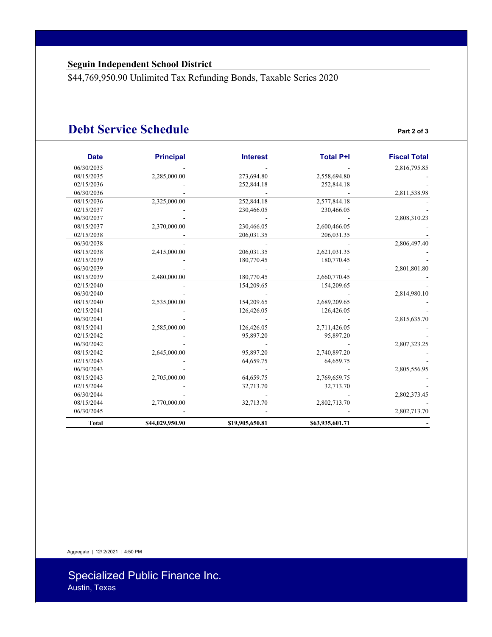\$44,769,950.90 Unlimited Tax Refunding Bonds, Taxable Series 2020

### **Debt Service Schedule Part 2 of 3**

| <b>Date</b> | <b>Principal</b> | <b>Interest</b> | <b>Total P+I</b> | <b>Fiscal Total</b> |
|-------------|------------------|-----------------|------------------|---------------------|
| 06/30/2035  |                  |                 |                  | 2,816,795.85        |
| 08/15/2035  | 2,285,000.00     | 273,694.80      | 2,558,694.80     |                     |
| 02/15/2036  |                  | 252,844.18      | 252,844.18       |                     |
| 06/30/2036  |                  |                 |                  | 2,811,538.98        |
| 08/15/2036  | 2,325,000.00     | 252,844.18      | 2,577,844.18     |                     |
| 02/15/2037  |                  | 230,466.05      | 230,466.05       |                     |
| 06/30/2037  |                  |                 |                  | 2,808,310.23        |
| 08/15/2037  | 2,370,000.00     | 230,466.05      | 2,600,466.05     |                     |
| 02/15/2038  |                  | 206,031.35      | 206,031.35       |                     |
| 06/30/2038  |                  |                 |                  | 2,806,497.40        |
| 08/15/2038  | 2,415,000.00     | 206,031.35      | 2,621,031.35     |                     |
| 02/15/2039  |                  | 180,770.45      | 180,770.45       |                     |
| 06/30/2039  |                  |                 |                  | 2,801,801.80        |
| 08/15/2039  | 2,480,000.00     | 180,770.45      | 2,660,770.45     |                     |
| 02/15/2040  |                  | 154,209.65      | 154,209.65       |                     |
| 06/30/2040  |                  |                 |                  | 2,814,980.10        |
| 08/15/2040  | 2,535,000.00     | 154,209.65      | 2,689,209.65     |                     |
| 02/15/2041  |                  | 126,426.05      | 126,426.05       |                     |
| 06/30/2041  |                  |                 |                  | 2,815,635.70        |
| 08/15/2041  | 2,585,000.00     | 126,426.05      | 2,711,426.05     |                     |
| 02/15/2042  |                  | 95,897.20       | 95,897.20        |                     |
| 06/30/2042  |                  |                 |                  | 2,807,323.25        |
| 08/15/2042  | 2,645,000.00     | 95,897.20       | 2,740,897.20     |                     |
| 02/15/2043  |                  | 64,659.75       | 64,659.75        |                     |
| 06/30/2043  |                  |                 |                  | 2,805,556.95        |
| 08/15/2043  | 2,705,000.00     | 64,659.75       | 2,769,659.75     |                     |
| 02/15/2044  |                  | 32,713.70       | 32,713.70        |                     |
| 06/30/2044  |                  |                 |                  | 2,802,373.45        |
| 08/15/2044  | 2,770,000.00     | 32,713.70       | 2,802,713.70     |                     |
| 06/30/2045  |                  |                 |                  | 2,802,713.70        |
| Total       | \$44,029,950.90  | \$19,905,650.81 | \$63,935,601.71  |                     |

Aggregate | 12/ 2/2021 | 4:50 PM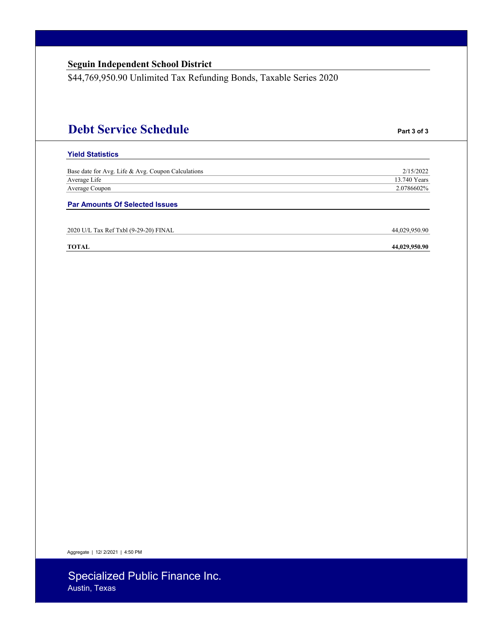\$44,769,950.90 Unlimited Tax Refunding Bonds, Taxable Series 2020

# **Debt Service Schedule Part 3 of 3**

#### **Yield Statistics**

| Base date for Avg. Life & Avg. Coupon Calculations | 2/15/2022    |
|----------------------------------------------------|--------------|
| Average Life                                       | 13.740 Years |
| Average Coupon                                     | 2.0786602%   |
|                                                    |              |

**Par Amounts Of Selected Issues** 

2020 U/L Tax Ref Txbl (9-29-20) FINAL 44,029,950.90

#### **TOTAL 44,029,950.90**

Aggregate | 12/ 2/2021 | 4:50 PM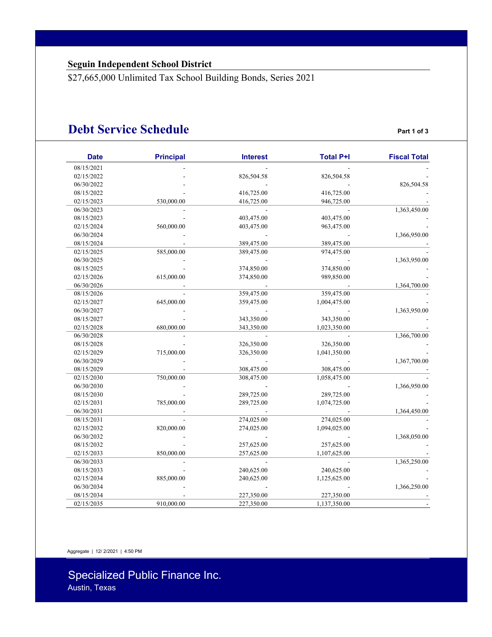\$27,665,000 Unlimited Tax School Building Bonds, Series 2021

### **Debt Service Schedule Part 1 of 3**

| <b>Date</b> | <b>Principal</b> | <b>Interest</b> | <b>Total P+I</b> | <b>Fiscal Total</b> |
|-------------|------------------|-----------------|------------------|---------------------|
| 08/15/2021  |                  |                 |                  |                     |
| 02/15/2022  |                  | 826,504.58      | 826,504.58       |                     |
| 06/30/2022  |                  |                 |                  | 826,504.58          |
| 08/15/2022  |                  | 416,725.00      | 416,725.00       |                     |
| 02/15/2023  | 530,000.00       | 416,725.00      | 946,725.00       |                     |
| 06/30/2023  |                  |                 |                  | 1,363,450.00        |
| 08/15/2023  |                  | 403,475.00      | 403,475.00       |                     |
| 02/15/2024  | 560,000.00       | 403,475.00      | 963,475.00       |                     |
| 06/30/2024  |                  |                 |                  | 1,366,950.00        |
| 08/15/2024  |                  | 389,475.00      | 389,475.00       |                     |
| 02/15/2025  | 585,000.00       | 389,475.00      | 974,475.00       |                     |
| 06/30/2025  |                  |                 |                  | 1,363,950.00        |
| 08/15/2025  |                  | 374,850.00      | 374,850.00       |                     |
| 02/15/2026  | 615,000.00       | 374,850.00      | 989,850.00       |                     |
| 06/30/2026  |                  |                 |                  | 1,364,700.00        |
| 08/15/2026  |                  | 359,475.00      | 359,475.00       |                     |
| 02/15/2027  | 645,000.00       | 359,475.00      | 1,004,475.00     |                     |
| 06/30/2027  |                  |                 |                  | 1,363,950.00        |
| 08/15/2027  |                  | 343,350.00      | 343,350.00       |                     |
| 02/15/2028  | 680,000.00       | 343,350.00      | 1,023,350.00     |                     |
| 06/30/2028  |                  |                 |                  | 1,366,700.00        |
| 08/15/2028  |                  | 326,350.00      | 326,350.00       |                     |
| 02/15/2029  | 715,000.00       | 326,350.00      | 1,041,350.00     |                     |
| 06/30/2029  |                  |                 |                  | 1,367,700.00        |
| 08/15/2029  |                  | 308,475.00      | 308,475.00       |                     |
| 02/15/2030  | 750,000.00       | 308,475.00      | 1,058,475.00     |                     |
| 06/30/2030  |                  |                 |                  | 1,366,950.00        |
| 08/15/2030  |                  | 289,725.00      | 289,725.00       |                     |
| 02/15/2031  | 785,000.00       | 289,725.00      | 1,074,725.00     |                     |
| 06/30/2031  |                  |                 |                  | 1,364,450.00        |
| 08/15/2031  |                  | 274,025.00      | 274,025.00       |                     |
| 02/15/2032  | 820,000.00       | 274,025.00      | 1,094,025.00     |                     |
| 06/30/2032  |                  |                 |                  | 1,368,050.00        |
| 08/15/2032  |                  | 257,625.00      | 257,625.00       |                     |
| 02/15/2033  | 850,000.00       | 257,625.00      | 1,107,625.00     |                     |
| 06/30/2033  |                  |                 |                  |                     |
| 08/15/2033  |                  | 240,625.00      | 240,625.00       | 1,365,250.00        |
| 02/15/2034  |                  |                 |                  |                     |
|             | 885,000.00       | 240,625.00      | 1,125,625.00     |                     |
| 06/30/2034  |                  |                 |                  | 1,366,250.00        |
| 08/15/2034  |                  | 227,350.00      | 227,350.00       |                     |
| 02/15/2035  | 910,000.00       | 227,350.00      | 1,137,350.00     |                     |

Aggregate | 12/ 2/2021 | 4:50 PM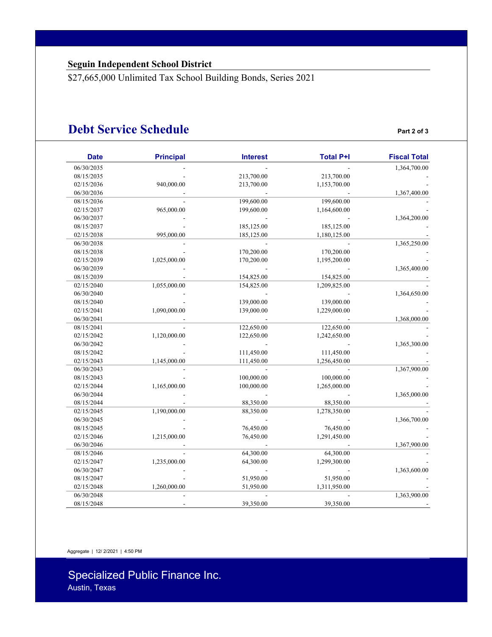\$27,665,000 Unlimited Tax School Building Bonds, Series 2021

### **Debt Service Schedule Part 2 of 3**

| <b>Date</b> | <b>Principal</b> | <b>Interest</b> | <b>Total P+I</b> | <b>Fiscal Total</b> |
|-------------|------------------|-----------------|------------------|---------------------|
| 06/30/2035  |                  |                 |                  | 1,364,700.00        |
| 08/15/2035  |                  | 213,700.00      | 213,700.00       |                     |
| 02/15/2036  | 940,000.00       | 213,700.00      | 1,153,700.00     |                     |
| 06/30/2036  |                  |                 |                  | 1,367,400.00        |
| 08/15/2036  |                  | 199,600.00      | 199,600.00       |                     |
| 02/15/2037  | 965,000.00       | 199,600.00      | 1,164,600.00     |                     |
| 06/30/2037  |                  |                 |                  | 1,364,200.00        |
| 08/15/2037  |                  | 185,125.00      | 185,125.00       |                     |
| 02/15/2038  | 995,000.00       | 185,125.00      | 1,180,125.00     |                     |
| 06/30/2038  |                  |                 |                  | 1,365,250.00        |
| 08/15/2038  |                  | 170,200.00      | 170,200.00       |                     |
| 02/15/2039  | 1,025,000.00     | 170,200.00      | 1,195,200.00     |                     |
| 06/30/2039  |                  |                 |                  | 1,365,400.00        |
| 08/15/2039  |                  | 154,825.00      | 154,825.00       |                     |
| 02/15/2040  | 1,055,000.00     | 154,825.00      | 1,209,825.00     |                     |
| 06/30/2040  |                  |                 |                  | 1,364,650.00        |
| 08/15/2040  |                  | 139,000.00      | 139,000.00       |                     |
| 02/15/2041  | 1,090,000.00     | 139,000.00      | 1,229,000.00     |                     |
| 06/30/2041  |                  |                 |                  | 1,368,000.00        |
| 08/15/2041  |                  | 122,650.00      | 122,650.00       |                     |
| 02/15/2042  | 1,120,000.00     | 122,650.00      | 1,242,650.00     |                     |
| 06/30/2042  |                  |                 |                  | 1,365,300.00        |
| 08/15/2042  |                  | 111,450.00      | 111,450.00       |                     |
| 02/15/2043  | 1,145,000.00     | 111,450.00      | 1,256,450.00     |                     |
| 06/30/2043  |                  |                 |                  | 1,367,900.00        |
| 08/15/2043  |                  | 100,000.00      | 100,000.00       |                     |
| 02/15/2044  | 1,165,000.00     | 100,000.00      | 1,265,000.00     |                     |
| 06/30/2044  |                  |                 |                  | 1,365,000.00        |
| 08/15/2044  |                  | 88,350.00       | 88,350.00        |                     |
| 02/15/2045  | 1,190,000.00     | 88,350.00       | 1,278,350.00     |                     |
| 06/30/2045  |                  |                 |                  | 1,366,700.00        |
| 08/15/2045  |                  | 76,450.00       | 76,450.00        |                     |
| 02/15/2046  | 1,215,000.00     | 76,450.00       | 1,291,450.00     |                     |
| 06/30/2046  |                  |                 |                  | 1,367,900.00        |
| 08/15/2046  |                  | 64,300.00       | 64,300.00        |                     |
| 02/15/2047  | 1,235,000.00     | 64,300.00       | 1,299,300.00     |                     |
| 06/30/2047  |                  |                 |                  | 1,363,600.00        |
| 08/15/2047  |                  | 51,950.00       | 51,950.00        |                     |
| 02/15/2048  | 1,260,000.00     | 51,950.00       | 1,311,950.00     |                     |
| 06/30/2048  |                  |                 |                  | 1,363,900.00        |
| 08/15/2048  |                  | 39,350.00       | 39,350.00        |                     |

Aggregate | 12/ 2/2021 | 4:50 PM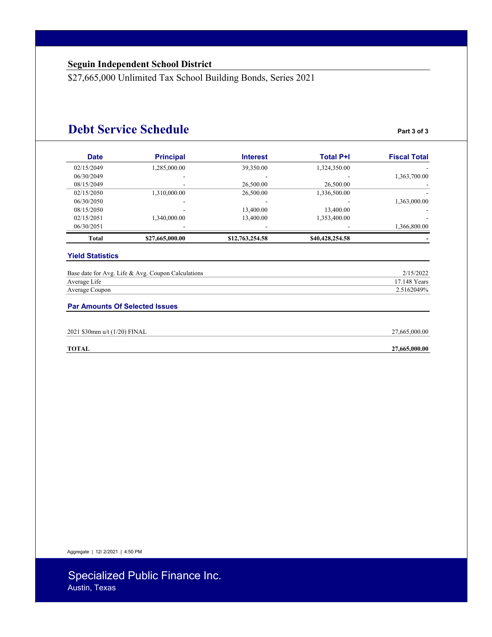\$27,665,000 Unlimited Tax School Building Bonds, Series 2021

### **Debt Service Schedule Part 3 of 3**

| <b>Fiscal Total</b> | <b>Total P+I</b> | <b>Interest</b> | <b>Principal</b> | <b>Date</b> |
|---------------------|------------------|-----------------|------------------|-------------|
|                     | 1,324,350.00     | 39,350.00       | 1,285,000.00     | 02/15/2049  |
| 1,363,700.00        |                  |                 |                  | 06/30/2049  |
|                     | 26,500.00        | 26,500.00       |                  | 08/15/2049  |
|                     | 1,336,500.00     | 26,500.00       | 1,310,000.00     | 02/15/2050  |
| 1,363,000.00        |                  |                 |                  | 06/30/2050  |
|                     | 13,400.00        | 13,400.00       |                  | 08/15/2050  |
|                     | 1,353,400.00     | 13,400.00       | 1.340.000.00     | 02/15/2051  |
| 1,366,800.00        |                  |                 |                  | 06/30/2051  |
|                     | \$40,428,254.58  | \$12,763,254.58 | \$27,665,000.00  | Total       |

#### **Yield Statistics**

| Base date for Avg. Life & Avg. Coupon Calculations | 2/15/2022    |
|----------------------------------------------------|--------------|
| Average Life                                       | 17.148 Years |
| Average Coupon                                     | 2.5162049%   |

#### **Par Amounts Of Selected Issues**

| 2021 \$30mm u/t (1/20) FINAL | $-665.000.00$<br>n. |
|------------------------------|---------------------|
|                              |                     |

**TOTAL 27,665,000.00**

Aggregate | 12/ 2/2021 | 4:50 PM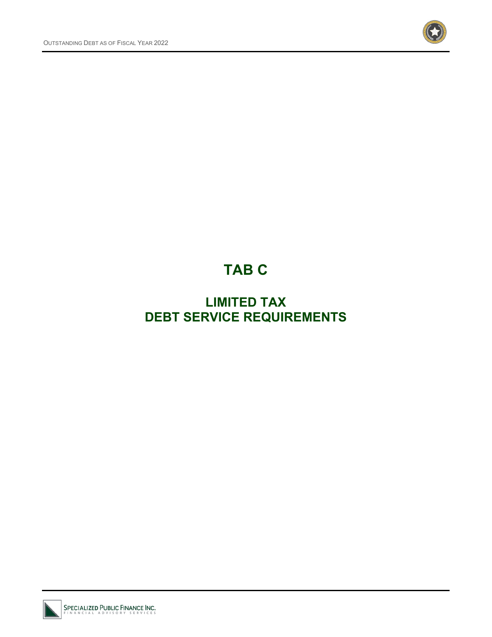

# **TAB C**

# **LIMITED TAX DEBT SERVICE REQUIREMENTS**

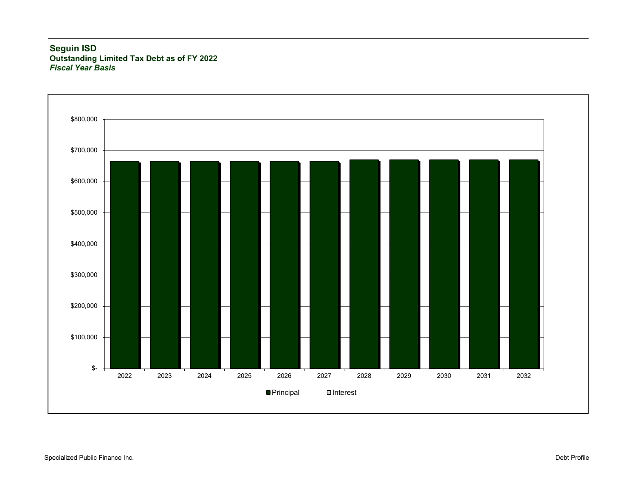#### **Seguin ISD Outstanding Limited Tax Debt as of FY 2022** *Fiscal Year Basis*